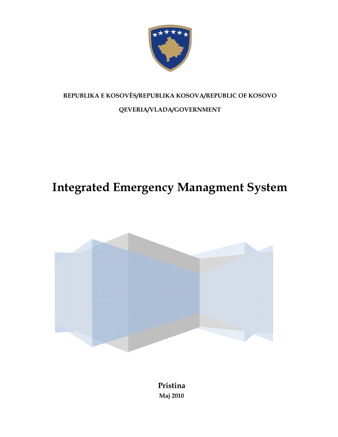

## **REPUBLIKA E KOSOVËS/REPUBLIKA KOSOVA/REPUBLIC OF KOSOVO**

## **QEVERIA/VLADA/GOVERNMENT**

# **Integrated Emergency Managment System**



 **Pristina Maj 2010**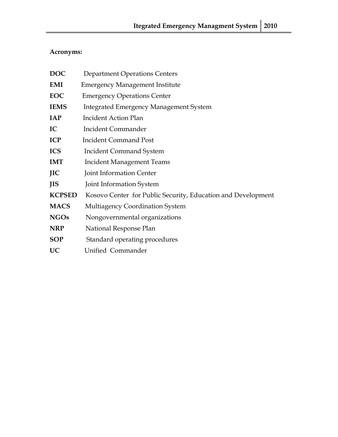## **Acronyms:**

| <b>DOC</b>    | <b>Department Operations Centers</b>                         |  |  |
|---------------|--------------------------------------------------------------|--|--|
| EMI           | <b>Emergency Management Institute</b>                        |  |  |
| EOC           | <b>Emergency Operations Center</b>                           |  |  |
| <b>IEMS</b>   | <b>Integrated Emergency Management System</b>                |  |  |
| <b>IAP</b>    | <b>Incident Action Plan</b>                                  |  |  |
| IC            | <b>Incident Commander</b>                                    |  |  |
| <b>ICP</b>    | <b>Incident Command Post</b>                                 |  |  |
| <b>ICS</b>    | <b>Incident Command System</b>                               |  |  |
| <b>IMT</b>    | <b>Incident Management Teams</b>                             |  |  |
| JIС           | Joint Information Center                                     |  |  |
| <b>IIS</b>    | Joint Information System                                     |  |  |
| <b>KCPSED</b> | Kosovo Center for Public Security, Education and Development |  |  |
| <b>MACS</b>   | <b>Multiagency Coordination System</b>                       |  |  |
| <b>NGOs</b>   | Nongovernmental organizations                                |  |  |
| <b>NRP</b>    | National Response Plan                                       |  |  |
| <b>SOP</b>    | Standard operating procedures                                |  |  |
| <b>UC</b>     | Unified Commander                                            |  |  |
|               |                                                              |  |  |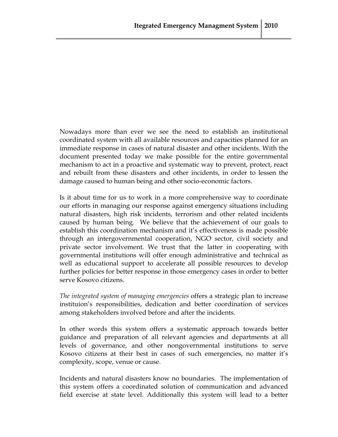Nowadays more than ever we see the need to establish an institutional coordinated system with all available resources and capacities planned for an immediate response in cases of natural disaster and other incidents. With the document presented today we make possible for the entire governmental mechanism to act in a proactive and systematic way to prevent, protect, react and rebuilt from these disasters and other incidents, in order to lessen the damage caused to human being and other socio-economic factors.

Is it about time for us to work in a more comprehensive way to coordinate our efforts in managing our response against emergency situations including natural disasters, high risk incidents, terrorism and other related incidents caused by human being. We believe that the achievement of our goals to establish this coordination mechanism and it's effectiveness is made possible through an intergovernmental cooperation, NGO sector, civil society and private sector involvement. We trust that the latter in cooperating with governmental institutions will offer enough administrative and technical as well as educational support to accelerate all possible resources to develop further policies for better response in those emergency cases in order to better serve Kosovo citizens.

*The integrated system of managing emergencies* offers a strategic plan to increase instituion's responsibilities, dedication and better coordination of services among stakeholders involved before and after the incidents.

In other words this system offers a systematic approach towards better guidance and preparation of all relevant agencies and departments at all levels of governance, and other nongovernmental institutions to serve Kosovo citizens at their best in cases of such emergencies, no matter it's complexity, scope, venue or cause.

Incidents and natural disasters know no boundaries. The implementation of this system offers a coordinated solution of communication and advanced field exercise at state level. Additionally this system will lead to a better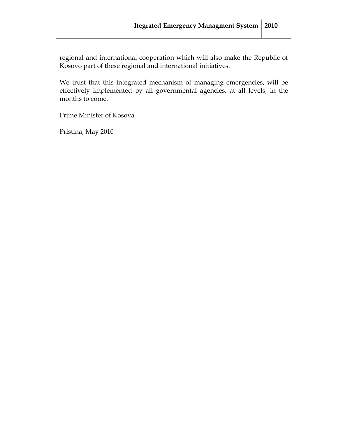regional and international cooperation which will also make the Republic of Kosovo part of these regional and international initiatives.

We trust that this integrated mechanism of managing emergencies, will be effectively implemented by all governmental agencies, at all levels, in the months to come.

Prime Minister of Kosova

Pristina, May 2010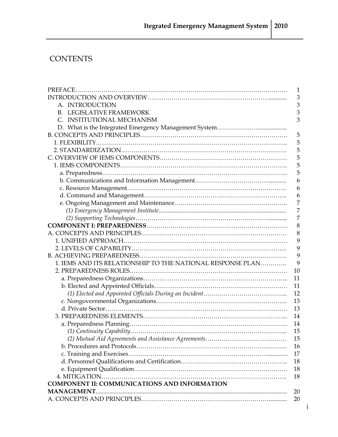## **CONTENTS**

|                                                            | 1  |
|------------------------------------------------------------|----|
|                                                            | 3  |
| A. INTRODUCTION                                            | 3  |
| <b>B. LEGISLATIVE FRAMEWORK</b>                            | 3  |
| <b>INSTITUTIONAL MECHANISM</b>                             | 3  |
|                                                            |    |
|                                                            | 5  |
|                                                            | 5  |
|                                                            | 5  |
|                                                            |    |
|                                                            | 5  |
|                                                            | 5  |
|                                                            | 6  |
|                                                            | 6  |
|                                                            | 6  |
|                                                            | 7  |
|                                                            | 7  |
|                                                            | 7  |
|                                                            | 8  |
|                                                            | 8  |
|                                                            | 9  |
|                                                            | 9  |
|                                                            | 9  |
| 1. IEMS AND ITS RELATIONSHIP TO THE NATIONAL RESPONSE PLAN | 9  |
|                                                            | 10 |
|                                                            | 11 |
|                                                            | 11 |
|                                                            | 12 |
|                                                            | 13 |
|                                                            | 13 |
|                                                            | 14 |
|                                                            | 14 |
|                                                            | 15 |
|                                                            | 15 |
|                                                            | 16 |
|                                                            | 17 |
|                                                            | 18 |
|                                                            | 18 |
|                                                            | 18 |
| <b>COMPONENT II: COMMUNICATIONS AND INFORMATION</b>        |    |
|                                                            | 20 |
|                                                            | 20 |
|                                                            |    |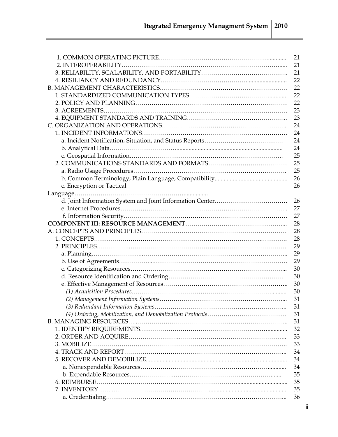|                           | 21 |
|---------------------------|----|
|                           | 21 |
|                           | 21 |
|                           | 22 |
|                           | 22 |
|                           | 22 |
|                           | 22 |
|                           | 23 |
|                           | 23 |
|                           | 24 |
|                           | 24 |
|                           | 24 |
|                           | 24 |
|                           | 25 |
|                           | 25 |
|                           | 25 |
|                           | 26 |
| c. Encryption or Tactical | 26 |
|                           |    |
|                           | 26 |
|                           | 27 |
|                           |    |
|                           | 27 |
|                           | 28 |
|                           | 28 |
|                           | 28 |
|                           | 29 |
|                           | 29 |
|                           | 29 |
|                           | 30 |
|                           | 30 |
|                           | 30 |
|                           | 30 |
|                           | 31 |
|                           | 31 |
|                           | 31 |
|                           | 31 |
|                           | 32 |
|                           | 33 |
|                           | 33 |
|                           | 34 |
|                           | 34 |
|                           | 34 |
|                           | 35 |
|                           | 35 |
|                           | 35 |
|                           | 36 |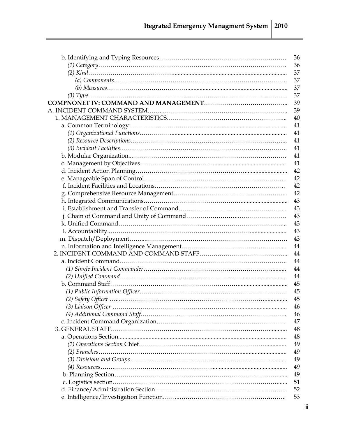| 36 |
|----|
| 36 |
| 37 |
| 37 |
| 37 |
| 37 |
| 39 |
| 39 |
| 40 |
| 41 |
| 41 |
| 41 |
| 41 |
| 41 |
| 41 |
| 42 |
| 42 |
| 42 |
| 42 |
| 43 |
| 43 |
| 43 |
| 43 |
| 43 |
| 43 |
| 44 |
| 44 |
| 44 |
| 44 |
| 44 |
| 45 |
| 45 |
| 45 |
|    |
| 46 |
| 46 |
| 47 |
| 48 |
| 48 |
| 49 |
| 49 |
| 49 |
| 49 |
| 49 |
| 51 |
| 52 |
| 53 |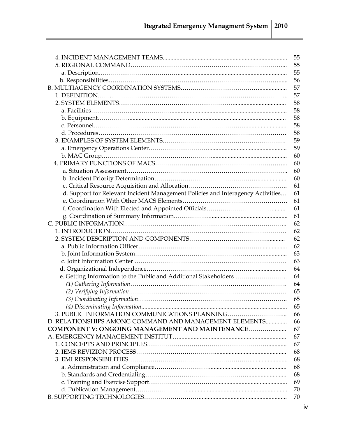|                                                                                 | 55 |
|---------------------------------------------------------------------------------|----|
|                                                                                 | 55 |
|                                                                                 | 55 |
|                                                                                 | 56 |
|                                                                                 | 57 |
|                                                                                 | 57 |
|                                                                                 | 58 |
|                                                                                 | 58 |
|                                                                                 | 58 |
|                                                                                 | 58 |
|                                                                                 | 58 |
|                                                                                 | 59 |
|                                                                                 | 59 |
|                                                                                 | 60 |
|                                                                                 | 60 |
|                                                                                 | 60 |
|                                                                                 | 60 |
|                                                                                 | 61 |
|                                                                                 |    |
| d. Support for Relevant Incident Management Policies and Interagency Activities | 61 |
|                                                                                 | 61 |
|                                                                                 | 61 |
|                                                                                 | 61 |
|                                                                                 | 62 |
|                                                                                 | 62 |
|                                                                                 | 62 |
|                                                                                 | 62 |
|                                                                                 | 63 |
|                                                                                 | 63 |
|                                                                                 | 64 |
| e. Getting Information to the Public and Additional Stakeholders                | 64 |
|                                                                                 | 64 |
|                                                                                 | 65 |
|                                                                                 | 65 |
|                                                                                 | 65 |
|                                                                                 | 66 |
| D. RELATIONSHIPS AMONG COMMAND AND MANAGEMENT ELEMENTS                          | 66 |
| <b>COMPONENT V: ONGOING MANAGEMENT AND MAINTENANCE</b>                          | 67 |
|                                                                                 | 67 |
|                                                                                 | 67 |
|                                                                                 | 68 |
|                                                                                 | 68 |
|                                                                                 | 68 |
|                                                                                 | 68 |
|                                                                                 | 69 |
|                                                                                 |    |
|                                                                                 | 70 |
|                                                                                 | 70 |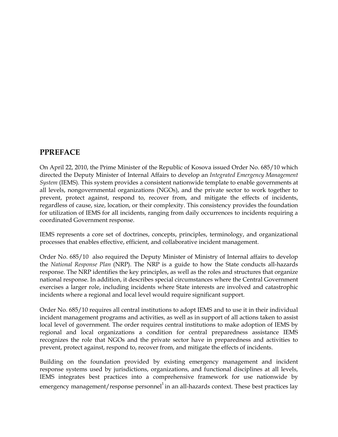## **PPREFACE**

On April 22, 2010, the Prime Minister of the Republic of Kosova issued Order No. 685/10 which directed the Deputy Minister of Internal Affairs to develop an *Integrated Emergency Management System* (IEMS). This system provides a consistent nationwide template to enable governments at all levels, nongovernmental organizations (NGOs), and the private sector to work together to prevent, protect against, respond to, recover from, and mitigate the effects of incidents, regardless of cause, size, location, or their complexity. This consistency provides the foundation for utilization of IEMS for all incidents, ranging from daily occurrences to incidents requiring a coordinated Government response.

IEMS represents a core set of doctrines, concepts, principles, terminology, and organizational processes that enables effective, efficient, and collaborative incident management.

Order No. 685/10 also required the Deputy Minister of Ministry of Internal affairs to develop the *National Response Plan* (NRP). The NRP is a guide to how the State conducts all-hazards response. The NRP identifies the key principles, as well as the roles and structures that organize national response. In addition, it describes special circumstances where the Central Government exercises a larger role, including incidents where State interests are involved and catastrophic incidents where a regional and local level would require significant support.

Order No. 685/10 requires all central institutions to adopt IEMS and to use it in their individual incident management programs and activities, as well as in support of all actions taken to assist local level of government. The order requires central institutions to make adoption of IEMS by regional and local organizations a condition for central preparedness assistance IEMS recognizes the role that NGOs and the private sector have in preparedness and activities to prevent, protect against, respond to, recover from, and mitigate the effects of incidents.

Building on the foundation provided by existing emergency management and incident response systems used by jurisdictions, organizations, and functional disciplines at all levels, IEMS integrates best practices into a comprehensive framework for use nationwide by emergency management/response personnel<sup>1</sup> in an all-hazards context. These best practices lay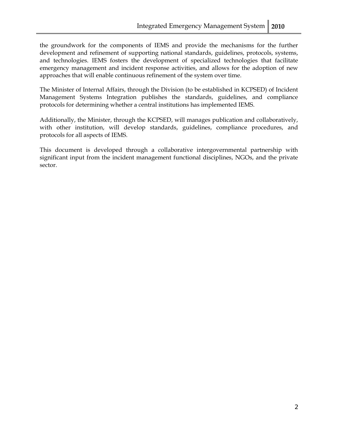the groundwork for the components of IEMS and provide the mechanisms for the further development and refinement of supporting national standards, guidelines, protocols, systems, and technologies. IEMS fosters the development of specialized technologies that facilitate emergency management and incident response activities, and allows for the adoption of new approaches that will enable continuous refinement of the system over time.

The Minister of Internal Affairs, through the Division (to be established in KCPSED) of Incident Management Systems Integration publishes the standards, guidelines, and compliance protocols for determining whether a central institutions has implemented IEMS.

Additionally, the Minister, through the KCPSED, will manages publication and collaboratively, with other institution, will develop standards, guidelines, compliance procedures, and protocols for all aspects of IEMS.

This document is developed through a collaborative intergovernmental partnership with significant input from the incident management functional disciplines, NGOs, and the private sector.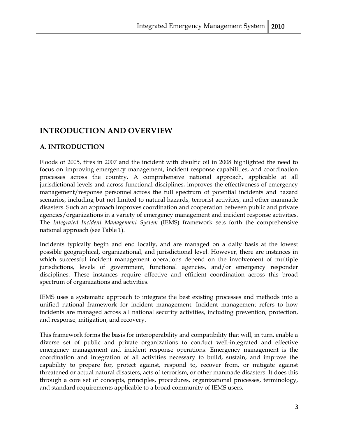## **INTRODUCTION AND OVERVIEW**

#### **A. INTRODUCTION**

Floods of 2005, fires in 2007 and the incident with disulfic oil in 2008 highlighted the need to focus on improving emergency management, incident response capabilities, and coordination processes across the country. A comprehensive national approach, applicable at all jurisdictional levels and across functional disciplines, improves the effectiveness of emergency management/response personnel across the full spectrum of potential incidents and hazard scenarios, including but not limited to natural hazards, terrorist activities, and other manmade disasters. Such an approach improves coordination and cooperation between public and private agencies/organizations in a variety of emergency management and incident response activities. The *Integrated Incident Management System* (IEMS) framework sets forth the comprehensive national approach (see Table 1).

Incidents typically begin and end locally, and are managed on a daily basis at the lowest possible geographical, organizational, and jurisdictional level. However, there are instances in which successful incident management operations depend on the involvement of multiple jurisdictions, levels of government, functional agencies, and/or emergency responder disciplines. These instances require effective and efficient coordination across this broad spectrum of organizations and activities.

IEMS uses a systematic approach to integrate the best existing processes and methods into a unified national framework for incident management. Incident management refers to how incidents are managed across all national security activities, including prevention, protection, and response, mitigation, and recovery.

This framework forms the basis for interoperability and compatibility that will, in turn, enable a diverse set of public and private organizations to conduct well-integrated and effective emergency management and incident response operations. Emergency management is the coordination and integration of all activities necessary to build, sustain, and improve the capability to prepare for, protect against, respond to, recover from, or mitigate against threatened or actual natural disasters, acts of terrorism, or other manmade disasters. It does this through a core set of concepts, principles, procedures, organizational processes, terminology, and standard requirements applicable to a broad community of IEMS users.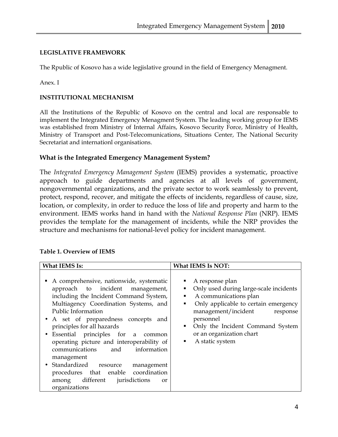#### **LEGISLATIVE FRAMEWORK**

The Rpublic of Kosovo has a wide legjislative ground in the field of Emergency Menagment.

Anex. I

#### **INSTITUTIONAL MECHANISM**

All the Institutions of the Republic of Kosovo on the central and local are responsable to implement the Integrated Emergency Menagment System. The leading working group for IEMS was established from Ministry of Internal Affairs, Kosovo Security Force, Ministry of Health, Ministry of Transport and Post-Telecomunications, Situations Center, The National Security Secretariat and internationl organisations.

#### **What is the Integrated Emergency Management System?**

The *Integrated Emergency Management System* (IEMS) provides a systematic, proactive approach to guide departments and agencies at all levels of government, nongovernmental organizations, and the private sector to work seamlessly to prevent, protect, respond, recover, and mitigate the effects of incidents, regardless of cause, size, location, or complexity, in order to reduce the loss of life and property and harm to the environment. IEMS works hand in hand with the *National Response Plan* (NRP). IEMS provides the template for the management of incidents, while the NRP provides the structure and mechanisms for national-level policy for incident management.

| <b>What IEMS Is:</b>                                                                                                                                                                                                                                                                                                                                                                                                                                                                                                                 | <b>What IEMS Is NOT:</b>                                                                                                                                                                                                                                                                                 |
|--------------------------------------------------------------------------------------------------------------------------------------------------------------------------------------------------------------------------------------------------------------------------------------------------------------------------------------------------------------------------------------------------------------------------------------------------------------------------------------------------------------------------------------|----------------------------------------------------------------------------------------------------------------------------------------------------------------------------------------------------------------------------------------------------------------------------------------------------------|
| A comprehensive, nationwide, systematic<br>approach to incident management,<br>including the Incident Command System,<br>Multiagency Coordination Systems, and<br>Public Information<br>• A set of preparedness concepts and<br>principles for all hazards<br>Essential principles for a<br>common<br>operating picture and interoperability of<br>communications and information<br>management<br>• Standardized resource management<br>procedures that enable coordination<br>among different jurisdictions<br>or<br>organizations | A response plan<br>п<br>Only used during large-scale incidents<br>п<br>A communications plan<br>٠<br>Only applicable to certain emergency<br>$\blacksquare$<br>management/incident<br>response<br>personnel<br>Only the Incident Command System<br>٠<br>or an organization chart<br>A static system<br>٠ |

#### **Table 1. Overview of IEMS**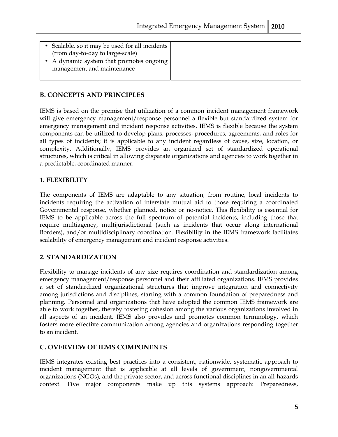| • Scalable, so it may be used for all incidents<br>(from day-to-day to large-scale)<br>• A dynamic system that promotes ongoing |  |
|---------------------------------------------------------------------------------------------------------------------------------|--|
| management and maintenance                                                                                                      |  |

#### **B. CONCEPTS AND PRINCIPLES**

IEMS is based on the premise that utilization of a common incident management framework will give emergency management/response personnel a flexible but standardized system for emergency management and incident response activities. IEMS is flexible because the system components can be utilized to develop plans, processes, procedures, agreements, and roles for all types of incidents; it is applicable to any incident regardless of cause, size, location, or complexity. Additionally, IEMS provides an organized set of standardized operational structures, which is critical in allowing disparate organizations and agencies to work together in a predictable, coordinated manner.

#### **1. FLEXIBILITY**

The components of IEMS are adaptable to any situation, from routine, local incidents to incidents requiring the activation of interstate mutual aid to those requiring a coordinated Governmental response, whether planned, notice or no-notice. This flexibility is essential for IEMS to be applicable across the full spectrum of potential incidents, including those that require multiagency, multijurisdictional (such as incidents that occur along international Borders), and/or multidisciplinary coordination. Flexibility in the IEMS framework facilitates scalability of emergency management and incident response activities.

#### **2. STANDARDIZATION**

Flexibility to manage incidents of any size requires coordination and standardization among emergency management/response personnel and their affiliated organizations. IEMS provides a set of standardized organizational structures that improve integration and connectivity among jurisdictions and disciplines, starting with a common foundation of preparedness and planning. Personnel and organizations that have adopted the common IEMS framework are able to work together, thereby fostering cohesion among the various organizations involved in all aspects of an incident. IEMS also provides and promotes common terminology, which fosters more effective communication among agencies and organizations responding together to an incident.

#### **C. OVERVIEW OF IEMS COMPONENTS**

IEMS integrates existing best practices into a consistent, nationwide, systematic approach to incident management that is applicable at all levels of government, nongovernmental organizations (NGOs), and the private sector, and across functional disciplines in an all-hazards context. Five major components make up this systems approach: Preparedness,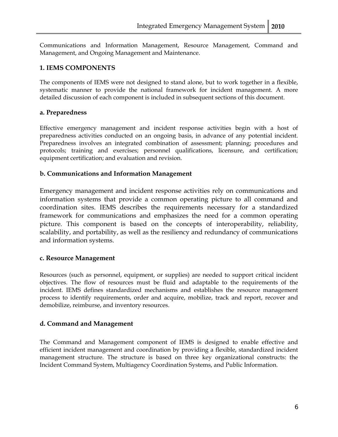Communications and Information Management, Resource Management, Command and Management, and Ongoing Management and Maintenance.

#### **1. IEMS COMPONENTS**

The components of IEMS were not designed to stand alone, but to work together in a flexible, systematic manner to provide the national framework for incident management. A more detailed discussion of each component is included in subsequent sections of this document.

#### **a. Preparedness**

Effective emergency management and incident response activities begin with a host of preparedness activities conducted on an ongoing basis, in advance of any potential incident. Preparedness involves an integrated combination of assessment; planning; procedures and protocols; training and exercises; personnel qualifications, licensure, and certification; equipment certification; and evaluation and revision.

#### **b. Communications and Information Management**

Emergency management and incident response activities rely on communications and information systems that provide a common operating picture to all command and coordination sites. IEMS describes the requirements necessary for a standardized framework for communications and emphasizes the need for a common operating picture. This component is based on the concepts of interoperability, reliability, scalability, and portability, as well as the resiliency and redundancy of communications and information systems.

#### **c. Resource Management**

Resources (such as personnel, equipment, or supplies) are needed to support critical incident objectives. The flow of resources must be fluid and adaptable to the requirements of the incident. IEMS defines standardized mechanisms and establishes the resource management process to identify requirements, order and acquire, mobilize, track and report, recover and demobilize, reimburse, and inventory resources.

#### **d. Command and Management**

The Command and Management component of IEMS is designed to enable effective and efficient incident management and coordination by providing a flexible, standardized incident management structure. The structure is based on three key organizational constructs: the Incident Command System, Multiagency Coordination Systems, and Public Information.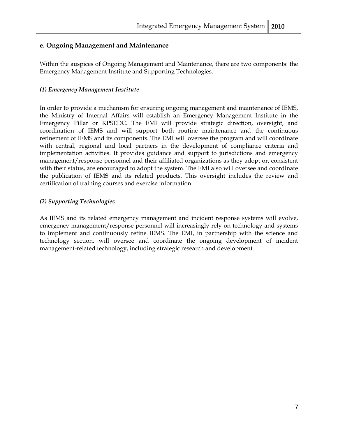#### **e. Ongoing Management and Maintenance**

Within the auspices of Ongoing Management and Maintenance, there are two components: the Emergency Management Institute and Supporting Technologies.

#### *(1) Emergency Management Institute*

In order to provide a mechanism for ensuring ongoing management and maintenance of IEMS, the Ministry of Internal Affairs will establish an Emergency Management Institute in the Emergency Pillar or KPSEDC. The EMI will provide strategic direction, oversight, and coordination of IEMS and will support both routine maintenance and the continuous refinement of IEMS and its components. The EMI will oversee the program and will coordinate with central, regional and local partners in the development of compliance criteria and implementation activities. It provides guidance and support to jurisdictions and emergency management/response personnel and their affiliated organizations as they adopt or, consistent with their status, are encouraged to adopt the system. The EMI also will oversee and coordinate the publication of IEMS and its related products. This oversight includes the review and certification of training courses and exercise information.

#### *(2) Supporting Technologies*

As IEMS and its related emergency management and incident response systems will evolve, emergency management/response personnel will increasingly rely on technology and systems to implement and continuously refine IEMS. The EMI, in partnership with the science and technology section, will oversee and coordinate the ongoing development of incident management-related technology, including strategic research and development.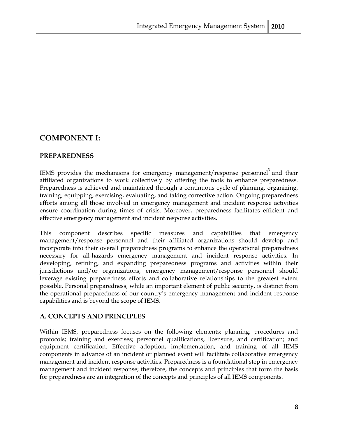## **COMPONENT I:**

#### **PREPAREDNESS**

IEMS provides the mechanisms for emergency management/response personnel<sup>3</sup> and their affiliated organizations to work collectively by offering the tools to enhance preparedness. Preparedness is achieved and maintained through a continuous cycle of planning, organizing, training, equipping, exercising, evaluating, and taking corrective action. Ongoing preparedness efforts among all those involved in emergency management and incident response activities ensure coordination during times of crisis. Moreover, preparedness facilitates efficient and effective emergency management and incident response activities.

This component describes specific measures and capabilities that emergency management/response personnel and their affiliated organizations should develop and incorporate into their overall preparedness programs to enhance the operational preparedness necessary for all-hazards emergency management and incident response activities. In developing, refining, and expanding preparedness programs and activities within their jurisdictions and/or organizations, emergency management/response personnel should leverage existing preparedness efforts and collaborative relationships to the greatest extent possible. Personal preparedness, while an important element of public security, is distinct from the operational preparedness of our country's emergency management and incident response capabilities and is beyond the scope of IEMS.

#### **A. CONCEPTS AND PRINCIPLES**

Within IEMS, preparedness focuses on the following elements: planning; procedures and protocols; training and exercises; personnel qualifications, licensure, and certification; and equipment certification. Effective adoption, implementation, and training of all IEMS components in advance of an incident or planned event will facilitate collaborative emergency management and incident response activities. Preparedness is a foundational step in emergency management and incident response; therefore, the concepts and principles that form the basis for preparedness are an integration of the concepts and principles of all IEMS components.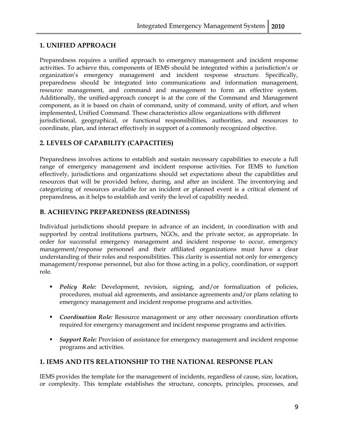### **1. UNIFIED APPROACH**

Preparedness requires a unified approach to emergency management and incident response activities. To achieve this, components of IEMS should be integrated within a jurisdiction's or organization's emergency management and incident response structure. Specifically, preparedness should be integrated into communications and information management, resource management, and command and management to form an effective system. Additionally, the unified-approach concept is at the core of the Command and Management component, as it is based on chain of command, unity of command, unity of effort, and when implemented, Unified Command. These characteristics allow organizations with different jurisdictional, geographical, or functional responsibilities, authorities, and resources to coordinate, plan, and interact effectively in support of a commonly recognized objective.

## **2. LEVELS OF CAPABILITY (CAPACITIES)**

Preparedness involves actions to establish and sustain necessary capabilities to execute a full range of emergency management and incident response activities. For IEMS to function effectively, jurisdictions and organizations should set expectations about the capabilities and resources that will be provided before, during, and after an incident. The inventorying and categorizing of resources available for an incident or planned event is a critical element of preparedness, as it helps to establish and verify the level of capability needed.

#### **B. ACHIEVING PREPAREDNESS (READINESS)**

Individual jurisdictions should prepare in advance of an incident, in coordination with and supported by central institutions partners, NGOs, and the private sector, as appropriate. In order for successful emergency management and incident response to occur, emergency management/response personnel and their affiliated organizations must have a clear understanding of their roles and responsibilities. This clarity is essential not only for emergency management/response personnel, but also for those acting in a policy, coordination, or support role.

- **Policy Role:** Development, revision, signing, and/or formalization of policies, procedures, mutual aid agreements, and assistance agreements and/or plans relating to emergency management and incident response programs and activities.
- *Coordination Role:* Resource management or any other necessary coordination efforts required for emergency management and incident response programs and activities.
- *Support Role:* Provision of assistance for emergency management and incident response programs and activities.

#### **1. IEMS AND ITS RELATIONSHIP TO THE NATIONAL RESPONSE PLAN**

IEMS provides the template for the management of incidents, regardless of cause, size, location, or complexity. This template establishes the structure, concepts, principles, processes, and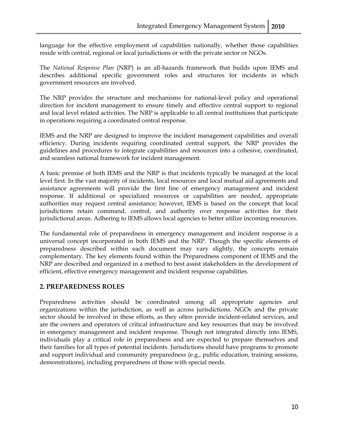language for the effective employment of capabilities nationally, whether those capabilities reside with central, regional or local jurisdictions or with the private sector or NGOs.

The *National Response Plan* (NRP) is an all-hazards framework that builds upon IEMS and describes additional specific government roles and structures for incidents in which government resources are involved.

The NRP provides the structure and mechanisms for national-level policy and operational direction for incident management to ensure timely and effective central support to regional and local level related activities. The NRP is applicable to all central institutions that participate in operations requiring a coordinated central response.

IEMS and the NRP are designed to improve the incident management capabilities and overall efficiency. During incidents requiring coordinated central support, the NRP provides the guidelines and procedures to integrate capabilities and resources into a cohesive, coordinated, and seamless national framework for incident management.

A basic premise of both IEMS and the NRP is that incidents typically be managed at the local level first. In the vast majority of incidents, local resources and local mutual aid agreements and assistance agreements will provide the first line of emergency management and incident response. If additional or specialized resources or capabilities are needed, appropriate authorities may request central assistance; however, IEMS is based on the concept that local jurisdictions retain command, control, and authority over response activities for their jurisdictional areas. Adhering to IEMS allows local agencies to better utilize incoming resources.

The fundamental role of preparedness in emergency management and incident response is a universal concept incorporated in both IEMS and the NRP. Though the specific elements of preparedness described within each document may vary slightly, the concepts remain complementary. The key elements found within the Preparedness component of IEMS and the NRP are described and organized in a method to best assist stakeholders in the development of efficient, effective emergency management and incident response capabilities.

#### **2. PREPAREDNESS ROLES**

Preparedness activities should be coordinated among all appropriate agencies and organizations within the jurisdiction, as well as across jurisdictions. NGOs and the private sector should be involved in these efforts, as they often provide incident-related services, and are the owners and operators of critical infrastructure and key resources that may be involved in emergency management and incident response. Though not integrated directly into IEMS, individuals play a critical role in preparedness and are expected to prepare themselves and their families for all types of potential incidents. Jurisdictions should have programs to promote and support individual and community preparedness (e.g., public education, training sessions, demonstrations), including preparedness of those with special needs.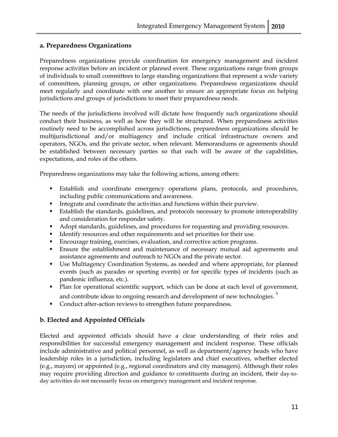#### **a. Preparedness Organizations**

Preparedness organizations provide coordination for emergency management and incident response activities before an incident or planned event. These organizations range from groups of individuals to small committees to large standing organizations that represent a wide variety of committees, planning groups, or other organizations. Preparedness organizations should meet regularly and coordinate with one another to ensure an appropriate focus on helping jurisdictions and groups of jurisdictions to meet their preparedness needs.

The needs of the jurisdictions involved will dictate how frequently such organizations should conduct their business, as well as how they will be structured. When preparedness activities routinely need to be accomplished across jurisdictions, preparedness organizations should be multijurisdictional and/or multiagency and include critical infrastructure owners and operators, NGOs, and the private sector, when relevant. Memorandums or agreements should be established between necessary parties so that each will be aware of the capabilities, expectations, and roles of the others.

Preparedness organizations may take the following actions, among others:

- Establish and coordinate emergency operations plans, protocols, and procedures, including public communications and awareness.
- Integrate and coordinate the activities and functions within their purview.
- Establish the standards, guidelines, and protocols necessary to promote interoperability and consideration for responder safety.
- Adopt standards, guidelines, and procedures for requesting and providing resources.
- Identify resources and other requirements and set priorities for their use.
- Encourage training, exercises, evaluation, and corrective action programs.
- Ensure the establishment and maintenance of necessary mutual aid agreements and assistance agreements and outreach to NGOs and the private sector.
- Use Multiagency Coordination Systems, as needed and where appropriate, for planned events (such as parades or sporting events) or for specific types of incidents (such as pandemic influenza, etc.).
- **Plan for operational scientific support, which can be done at each level of government,** and contribute ideas to ongoing research and development of new technologies.<sup>5</sup>
- Conduct after-action reviews to strengthen future preparedness.

#### **b. Elected and Appointed Officials**

Elected and appointed officials should have a clear understanding of their roles and responsibilities for successful emergency management and incident response. These officials include administrative and political personnel, as well as department/agency heads who have leadership roles in a jurisdiction, including legislators and chief executives, whether elected (e.g., mayors) or appointed (e.g., regional coordinators and city managers). Although their roles may require providing direction and guidance to constituents during an incident, their day-today activities do not necessarily focus on emergency management and incident response.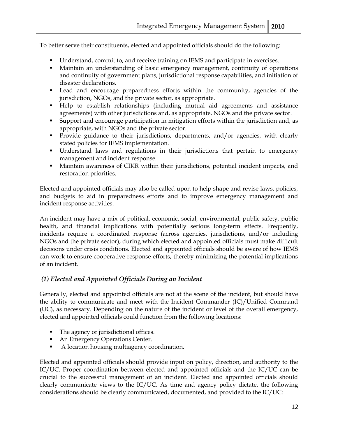To better serve their constituents, elected and appointed officials should do the following:

- Understand, commit to, and receive training on IEMS and participate in exercises.
- Maintain an understanding of basic emergency management, continuity of operations and continuity of government plans, jurisdictional response capabilities, and initiation of disaster declarations.
- Lead and encourage preparedness efforts within the community, agencies of the jurisdiction, NGOs, and the private sector, as appropriate.
- Help to establish relationships (including mutual aid agreements and assistance agreements) with other jurisdictions and, as appropriate, NGOs and the private sector.
- Support and encourage participation in mitigation efforts within the jurisdiction and, as appropriate, with NGOs and the private sector.
- **Provide guidance to their jurisdictions, departments, and/or agencies, with clearly** stated policies for IEMS implementation.
- Understand laws and regulations in their jurisdictions that pertain to emergency management and incident response.
- Maintain awareness of CIKR within their jurisdictions, potential incident impacts, and restoration priorities.

Elected and appointed officials may also be called upon to help shape and revise laws, policies, and budgets to aid in preparedness efforts and to improve emergency management and incident response activities.

An incident may have a mix of political, economic, social, environmental, public safety, public health, and financial implications with potentially serious long-term effects. Frequently, incidents require a coordinated response (across agencies, jurisdictions, and/or including NGOs and the private sector), during which elected and appointed officials must make difficult decisions under crisis conditions. Elected and appointed officials should be aware of how IEMS can work to ensure cooperative response efforts, thereby minimizing the potential implications of an incident.

## *(1) Elected and Appointed Officials During an Incident*

Generally, elected and appointed officials are not at the scene of the incident, but should have the ability to communicate and meet with the Incident Commander (IC)/Unified Command (UC), as necessary. Depending on the nature of the incident or level of the overall emergency, elected and appointed officials could function from the following locations:

- The agency or jurisdictional offices.
- An Emergency Operations Center.
- A location housing multiagency coordination.

Elected and appointed officials should provide input on policy, direction, and authority to the IC/UC. Proper coordination between elected and appointed officials and the IC/UC can be crucial to the successful management of an incident. Elected and appointed officials should clearly communicate views to the IC/UC. As time and agency policy dictate, the following considerations should be clearly communicated, documented, and provided to the IC/UC: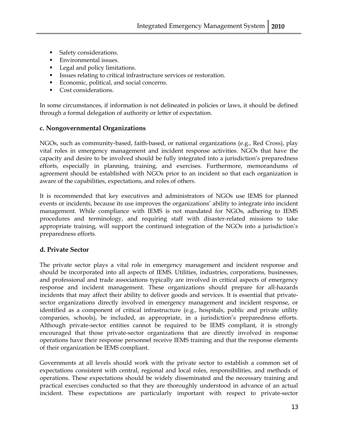- **Safety considerations.**
- Environmental issues.
- **Legal and policy limitations.**
- Issues relating to critical infrastructure services or restoration.
- Economic, political, and social concerns.
- Cost considerations.

In some circumstances, if information is not delineated in policies or laws, it should be defined through a formal delegation of authority or letter of expectation.

#### **c. Nongovernmental Organizations**

NGOs, such as community-based, faith-based, or national organizations (e.g., Red Cross), play vital roles in emergency management and incident response activities. NGOs that have the capacity and desire to be involved should be fully integrated into a jurisdiction's preparedness efforts, especially in planning, training, and exercises. Furthermore, memorandums of agreement should be established with NGOs prior to an incident so that each organization is aware of the capabilities, expectations, and roles of others.

It is recommended that key executives and administrators of NGOs use IEMS for planned events or incidents, because its use improves the organizations' ability to integrate into incident management. While compliance with IEMS is not mandated for NGOs, adhering to IEMS procedures and terminology, and requiring staff with disaster-related missions to take appropriate training, will support the continued integration of the NGOs into a jurisdiction's preparedness efforts.

#### **d. Private Sector**

The private sector plays a vital role in emergency management and incident response and should be incorporated into all aspects of IEMS. Utilities, industries, corporations, businesses, and professional and trade associations typically are involved in critical aspects of emergency response and incident management. These organizations should prepare for all-hazards incidents that may affect their ability to deliver goods and services. It is essential that privatesector organizations directly involved in emergency management and incident response, or identified as a component of critical infrastructure (e.g., hospitals, public and private utility companies, schools), be included, as appropriate, in a jurisdiction's preparedness efforts. Although private-sector entities cannot be required to be IEMS compliant, it is strongly encouraged that those private-sector organizations that are directly involved in response operations have their response personnel receive IEMS training and that the response elements of their organization be IEMS compliant.

Governments at all levels should work with the private sector to establish a common set of expectations consistent with central, regional and local roles, responsibilities, and methods of operations. These expectations should be widely disseminated and the necessary training and practical exercises conducted so that they are thoroughly understood in advance of an actual incident. These expectations are particularly important with respect to private-sector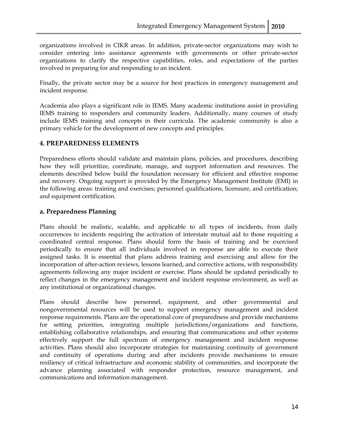organizations involved in CIKR areas. In addition, private-sector organizations may wish to consider entering into assistance agreements with governments or other private-sector organizations to clarify the respective capabilities, roles, and expectations of the parties involved in preparing for and responding to an incident.

Finally, the private sector may be a source for best practices in emergency management and incident response.

Academia also plays a significant role in IEMS. Many academic institutions assist in providing IEMS training to responders and community leaders. Additionally, many courses of study include IEMS training and concepts in their curricula. The academic community is also a primary vehicle for the development of new concepts and principles.

#### **4. PREPAREDNESS ELEMENTS**

Preparedness efforts should validate and maintain plans, policies, and procedures, describing how they will prioritize, coordinate, manage, and support information and resources. The elements described below build the foundation necessary for efficient and effective response and recovery. Ongoing support is provided by the Emergency Management Institute (EMI) in the following areas: training and exercises; personnel qualifications, licensure, and certification; and equipment certification.

#### **a. Preparedness Planning**

Plans should be realistic, scalable, and applicable to all types of incidents, from daily occurrences to incidents requiring the activation of interstate mutual aid to those requiring a coordinated central response. Plans should form the basis of training and be exercised periodically to ensure that all individuals involved in response are able to execute their assigned tasks. It is essential that plans address training and exercising and allow for the incorporation of after-action reviews, lessons learned, and corrective actions, with responsibility agreements following any major incident or exercise. Plans should be updated periodically to reflect changes in the emergency management and incident response environment, as well as any institutional or organizational changes.

Plans should describe how personnel, equipment, and other governmental and nongovernmental resources will be used to support emergency management and incident response requirements. Plans are the operational core of preparedness and provide mechanisms for setting priorities, integrating multiple jurisdictions/organizations and functions, establishing collaborative relationships, and ensuring that communications and other systems effectively support the full spectrum of emergency management and incident response activities. Plans should also incorporate strategies for maintaining continuity of government and continuity of operations during and after incidents provide mechanisms to ensure resiliency of critical infrastructure and economic stability of communities, and incorporate the advance planning associated with responder protection, resource management, and communications and information management.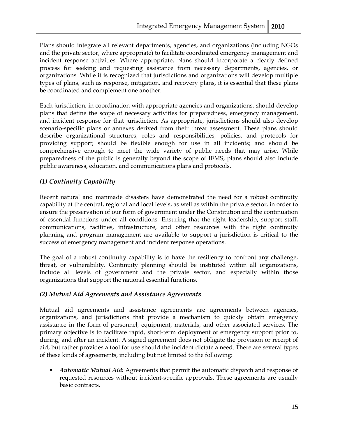Plans should integrate all relevant departments, agencies, and organizations (including NGOs and the private sector, where appropriate) to facilitate coordinated emergency management and incident response activities. Where appropriate, plans should incorporate a clearly defined process for seeking and requesting assistance from necessary departments, agencies, or organizations. While it is recognized that jurisdictions and organizations will develop multiple types of plans, such as response, mitigation, and recovery plans, it is essential that these plans be coordinated and complement one another.

Each jurisdiction, in coordination with appropriate agencies and organizations, should develop plans that define the scope of necessary activities for preparedness, emergency management, and incident response for that jurisdiction. As appropriate, jurisdictions should also develop scenario-specific plans or annexes derived from their threat assessment. These plans should describe organizational structures, roles and responsibilities, policies, and protocols for providing support; should be flexible enough for use in all incidents; and should be comprehensive enough to meet the wide variety of public needs that may arise. While preparedness of the public is generally beyond the scope of IEMS, plans should also include public awareness, education, and communications plans and protocols.

## *(1) Continuity Capability*

Recent natural and manmade disasters have demonstrated the need for a robust continuity capability at the central, regional and local levels, as well as within the private sector, in order to ensure the preservation of our form of government under the Constitution and the continuation of essential functions under all conditions. Ensuring that the right leadership, support staff, communications, facilities, infrastructure, and other resources with the right continuity planning and program management are available to support a jurisdiction is critical to the success of emergency management and incident response operations.

The goal of a robust continuity capability is to have the resiliency to confront any challenge, threat, or vulnerability. Continuity planning should be instituted within all organizations, include all levels of government and the private sector, and especially within those organizations that support the national essential functions.

#### *(2) Mutual Aid Agreements and Assistance Agreements*

Mutual aid agreements and assistance agreements are agreements between agencies, organizations, and jurisdictions that provide a mechanism to quickly obtain emergency assistance in the form of personnel, equipment, materials, and other associated services. The primary objective is to facilitate rapid, short-term deployment of emergency support prior to, during, and after an incident. A signed agreement does not obligate the provision or receipt of aid, but rather provides a tool for use should the incident dictate a need. There are several types of these kinds of agreements, including but not limited to the following:

 *Automatic Mutual Aid:* Agreements that permit the automatic dispatch and response of requested resources without incident-specific approvals. These agreements are usually basic contracts.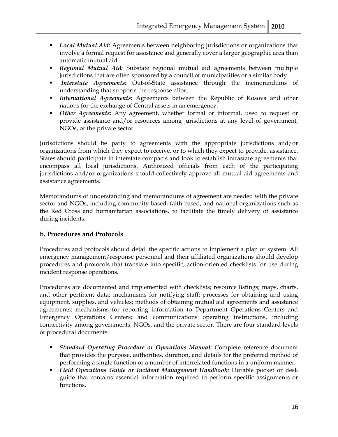- *Local Mutual Aid:* Agreements between neighboring jurisdictions or organizations that involve a formal request for assistance and generally cover a larger geographic area than automatic mutual aid.
- *Regional Mutual Aid:* Substate regional mutual aid agreements between multiple jurisdictions that are often sponsored by a council of municipalities or a similar body.
- *Interstate Agreements:* Out-of-State assistance through the memorandums of understanding that supports the response effort.
- *International Agreements:* Agreements between the Republic of Kosova and other nations for the exchange of Central assets in an emergency.
- *Other Agreements:* Any agreement, whether formal or informal, used to request or provide assistance and/or resources among jurisdictions at any level of government, NGOs, or the private sector.

Jurisdictions should be party to agreements with the appropriate jurisdictions and/or organizations from which they expect to receive, or to which they expect to provide, assistance. States should participate in interstate compacts and look to establish intrastate agreements that encompass all local jurisdictions. Authorized officials from each of the participating jurisdictions and/or organizations should collectively approve all mutual aid agreements and assistance agreements.

Memorandums of understanding and memorandums of agreement are needed with the private sector and NGOs, including community-based, faith-based, and national organizations such as the Red Cross and humanitarian associations, to facilitate the timely delivery of assistance during incidents.

#### **b. Procedures and Protocols**

Procedures and protocols should detail the specific actions to implement a plan or system. All emergency management/response personnel and their affiliated organizations should develop procedures and protocols that translate into specific, action-oriented checklists for use during incident response operations.

Procedures are documented and implemented with checklists; resource listings; maps, charts, and other pertinent data; mechanisms for notifying staff; processes for obtaining and using equipment, supplies, and vehicles; methods of obtaining mutual aid agreements and assistance agreements; mechanisms for reporting information to Department Operations Centers and Emergency Operations Centers; and communications operating instructions, including connectivity among governments, NGOs, and the private sector. There are four standard levels of procedural documents:

- *Standard Operating Procedure or Operations Manual:* Complete reference document that provides the purpose, authorities, duration, and details for the preferred method of performing a single function or a number of interrelated functions in a uniform manner.
- *Field Operations Guide or Incident Management Handbook:* Durable pocket or desk guide that contains essential information required to perform specific assignments or functions.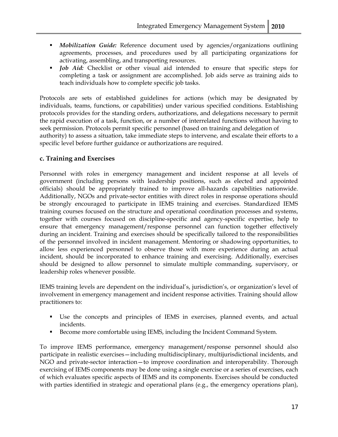- *Mobilization Guide:* Reference document used by agencies/organizations outlining agreements, processes, and procedures used by all participating organizations for activating, assembling, and transporting resources.
- *Job Aid:* Checklist or other visual aid intended to ensure that specific steps for completing a task or assignment are accomplished. Job aids serve as training aids to teach individuals how to complete specific job tasks.

Protocols are sets of established guidelines for actions (which may be designated by individuals, teams, functions, or capabilities) under various specified conditions. Establishing protocols provides for the standing orders, authorizations, and delegations necessary to permit the rapid execution of a task, function, or a number of interrelated functions without having to seek permission. Protocols permit specific personnel (based on training and delegation of authority) to assess a situation, take immediate steps to intervene, and escalate their efforts to a specific level before further guidance or authorizations are required.

#### **c. Training and Exercises**

Personnel with roles in emergency management and incident response at all levels of government (including persons with leadership positions, such as elected and appointed officials) should be appropriately trained to improve all-hazards capabilities nationwide. Additionally, NGOs and private-sector entities with direct roles in response operations should be strongly encouraged to participate in IEMS training and exercises. Standardized IEMS training courses focused on the structure and operational coordination processes and systems, together with courses focused on discipline-specific and agency-specific expertise, help to ensure that emergency management/response personnel can function together effectively during an incident. Training and exercises should be specifically tailored to the responsibilities of the personnel involved in incident management. Mentoring or shadowing opportunities, to allow less experienced personnel to observe those with more experience during an actual incident, should be incorporated to enhance training and exercising. Additionally, exercises should be designed to allow personnel to simulate multiple commanding, supervisory, or leadership roles whenever possible.

IEMS training levels are dependent on the individual's, jurisdiction's, or organization's level of involvement in emergency management and incident response activities. Training should allow practitioners to:

- Use the concepts and principles of IEMS in exercises, planned events, and actual incidents.
- Become more comfortable using IEMS, including the Incident Command System.

To improve IEMS performance, emergency management/response personnel should also participate in realistic exercises—including multidisciplinary, multijurisdictional incidents, and NGO and private-sector interaction—to improve coordination and interoperability. Thorough exercising of IEMS components may be done using a single exercise or a series of exercises, each of which evaluates specific aspects of IEMS and its components. Exercises should be conducted with parties identified in strategic and operational plans (e.g., the emergency operations plan),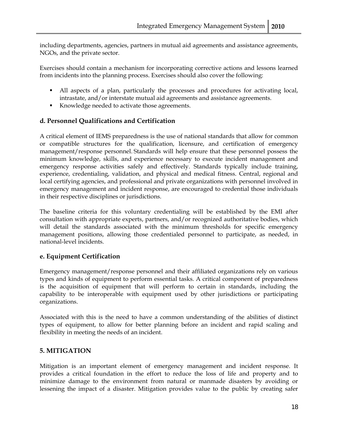including departments, agencies, partners in mutual aid agreements and assistance agreements, NGOs, and the private sector.

Exercises should contain a mechanism for incorporating corrective actions and lessons learned from incidents into the planning process. Exercises should also cover the following:

- All aspects of a plan, particularly the processes and procedures for activating local, intrastate, and/or interstate mutual aid agreements and assistance agreements.
- Knowledge needed to activate those agreements.

#### **d. Personnel Qualifications and Certification**

A critical element of IEMS preparedness is the use of national standards that allow for common or compatible structures for the qualification, licensure, and certification of emergency management/response personnel. Standards will help ensure that these personnel possess the minimum knowledge, skills, and experience necessary to execute incident management and emergency response activities safely and effectively. Standards typically include training, experience, credentialing, validation, and physical and medical fitness. Central, regional and local certifying agencies, and professional and private organizations with personnel involved in emergency management and incident response, are encouraged to credential those individuals in their respective disciplines or jurisdictions.

The baseline criteria for this voluntary credentialing will be established by the EMI after consultation with appropriate experts, partners, and/or recognized authoritative bodies, which will detail the standards associated with the minimum thresholds for specific emergency management positions, allowing those credentialed personnel to participate, as needed, in national-level incidents.

#### **e. Equipment Certification**

Emergency management/response personnel and their affiliated organizations rely on various types and kinds of equipment to perform essential tasks. A critical component of preparedness is the acquisition of equipment that will perform to certain in standards, including the capability to be interoperable with equipment used by other jurisdictions or participating organizations.

Associated with this is the need to have a common understanding of the abilities of distinct types of equipment, to allow for better planning before an incident and rapid scaling and flexibility in meeting the needs of an incident.

#### **5. MITIGATION**

Mitigation is an important element of emergency management and incident response. It provides a critical foundation in the effort to reduce the loss of life and property and to minimize damage to the environment from natural or manmade disasters by avoiding or lessening the impact of a disaster. Mitigation provides value to the public by creating safer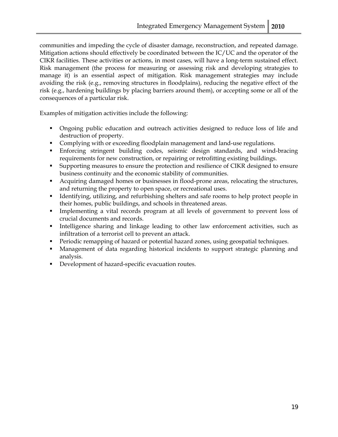communities and impeding the cycle of disaster damage, reconstruction, and repeated damage. Mitigation actions should effectively be coordinated between the IC/UC and the operator of the CIKR facilities. These activities or actions, in most cases, will have a long-term sustained effect. Risk management (the process for measuring or assessing risk and developing strategies to manage it) is an essential aspect of mitigation. Risk management strategies may include avoiding the risk (e.g., removing structures in floodplains), reducing the negative effect of the risk (e.g., hardening buildings by placing barriers around them), or accepting some or all of the consequences of a particular risk.

Examples of mitigation activities include the following:

- Ongoing public education and outreach activities designed to reduce loss of life and destruction of property.
- Complying with or exceeding floodplain management and land-use regulations.
- Enforcing stringent building codes, seismic design standards, and wind-bracing requirements for new construction, or repairing or retrofitting existing buildings.
- Supporting measures to ensure the protection and resilience of CIKR designed to ensure business continuity and the economic stability of communities.
- **Acquiring damaged homes or businesses in flood-prone areas, relocating the structures,** and returning the property to open space, or recreational uses.
- Identifying, utilizing, and refurbishing shelters and safe rooms to help protect people in their homes, public buildings, and schools in threatened areas.
- Implementing a vital records program at all levels of government to prevent loss of crucial documents and records.
- Intelligence sharing and linkage leading to other law enforcement activities, such as infiltration of a terrorist cell to prevent an attack.
- Periodic remapping of hazard or potential hazard zones, using geospatial techniques.
- Management of data regarding historical incidents to support strategic planning and analysis.
- Development of hazard-specific evacuation routes.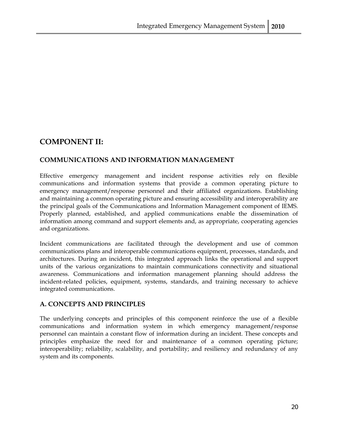## **COMPONENT II:**

#### **COMMUNICATIONS AND INFORMATION MANAGEMENT**

Effective emergency management and incident response activities rely on flexible communications and information systems that provide a common operating picture to emergency management/response personnel and their affiliated organizations. Establishing and maintaining a common operating picture and ensuring accessibility and interoperability are the principal goals of the Communications and Information Management component of IEMS. Properly planned, established, and applied communications enable the dissemination of information among command and support elements and, as appropriate, cooperating agencies and organizations.

Incident communications are facilitated through the development and use of common communications plans and interoperable communications equipment, processes, standards, and architectures. During an incident, this integrated approach links the operational and support units of the various organizations to maintain communications connectivity and situational awareness. Communications and information management planning should address the incident-related policies, equipment, systems, standards, and training necessary to achieve integrated communications.

#### **A. CONCEPTS AND PRINCIPLES**

The underlying concepts and principles of this component reinforce the use of a flexible communications and information system in which emergency management/response personnel can maintain a constant flow of information during an incident. These concepts and principles emphasize the need for and maintenance of a common operating picture; interoperability; reliability, scalability, and portability; and resiliency and redundancy of any system and its components.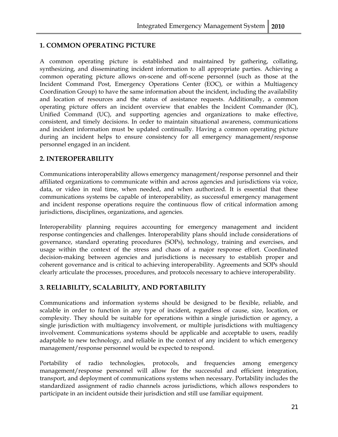#### **1. COMMON OPERATING PICTURE**

A common operating picture is established and maintained by gathering, collating, synthesizing, and disseminating incident information to all appropriate parties. Achieving a common operating picture allows on-scene and off-scene personnel (such as those at the Incident Command Post, Emergency Operations Center (EOC), or within a Multiagency Coordination Group) to have the same information about the incident, including the availability and location of resources and the status of assistance requests. Additionally, a common operating picture offers an incident overview that enables the Incident Commander (IC), Unified Command (UC), and supporting agencies and organizations to make effective, consistent, and timely decisions. In order to maintain situational awareness, communications and incident information must be updated continually. Having a common operating picture during an incident helps to ensure consistency for all emergency management/response personnel engaged in an incident.

#### **2. INTEROPERABILITY**

Communications interoperability allows emergency management/response personnel and their affiliated organizations to communicate within and across agencies and jurisdictions via voice, data, or video in real time, when needed, and when authorized. It is essential that these communications systems be capable of interoperability, as successful emergency management and incident response operations require the continuous flow of critical information among jurisdictions, disciplines, organizations, and agencies.

Interoperability planning requires accounting for emergency management and incident response contingencies and challenges. Interoperability plans should include considerations of governance, standard operating procedures (SOPs), technology, training and exercises, and usage within the context of the stress and chaos of a major response effort. Coordinated decision-making between agencies and jurisdictions is necessary to establish proper and coherent governance and is critical to achieving interoperability. Agreements and SOPs should clearly articulate the processes, procedures, and protocols necessary to achieve interoperability.

#### **3. RELIABILITY, SCALABILITY, AND PORTABILITY**

Communications and information systems should be designed to be flexible, reliable, and scalable in order to function in any type of incident, regardless of cause, size, location, or complexity. They should be suitable for operations within a single jurisdiction or agency, a single jurisdiction with multiagency involvement, or multiple jurisdictions with multiagency involvement. Communications systems should be applicable and acceptable to users, readily adaptable to new technology, and reliable in the context of any incident to which emergency management/response personnel would be expected to respond.

Portability of radio technologies, protocols, and frequencies among emergency management/response personnel will allow for the successful and efficient integration, transport, and deployment of communications systems when necessary. Portability includes the standardized assignment of radio channels across jurisdictions, which allows responders to participate in an incident outside their jurisdiction and still use familiar equipment.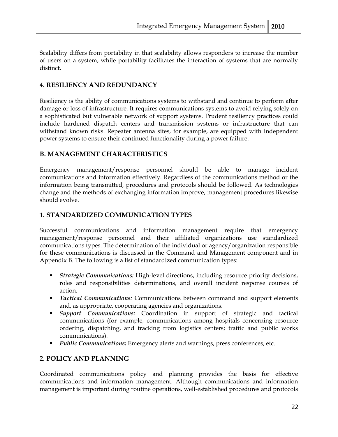Scalability differs from portability in that scalability allows responders to increase the number of users on a system, while portability facilitates the interaction of systems that are normally distinct.

#### **4. RESILIENCY AND REDUNDANCY**

Resiliency is the ability of communications systems to withstand and continue to perform after damage or loss of infrastructure. It requires communications systems to avoid relying solely on a sophisticated but vulnerable network of support systems. Prudent resiliency practices could include hardened dispatch centers and transmission systems or infrastructure that can withstand known risks. Repeater antenna sites, for example, are equipped with independent power systems to ensure their continued functionality during a power failure.

#### **B. MANAGEMENT CHARACTERISTICS**

Emergency management/response personnel should be able to manage incident communications and information effectively. Regardless of the communications method or the information being transmitted, procedures and protocols should be followed. As technologies change and the methods of exchanging information improve, management procedures likewise should evolve.

#### **1. STANDARDIZED COMMUNICATION TYPES**

Successful communications and information management require that emergency management/response personnel and their affiliated organizations use standardized communications types. The determination of the individual or agency/organization responsible for these communications is discussed in the Command and Management component and in Appendix B. The following is a list of standardized communication types:

- *Strategic Communications:* High-level directions, including resource priority decisions, roles and responsibilities determinations, and overall incident response courses of action.
- *Tactical Communications:* Communications between command and support elements and, as appropriate, cooperating agencies and organizations.
- *Support Communications:* Coordination in support of strategic and tactical communications (for example, communications among hospitals concerning resource ordering, dispatching, and tracking from logistics centers; traffic and public works communications).
- *Public Communications:* Emergency alerts and warnings, press conferences, etc.

#### **2. POLICY AND PLANNING**

Coordinated communications policy and planning provides the basis for effective communications and information management. Although communications and information management is important during routine operations, well-established procedures and protocols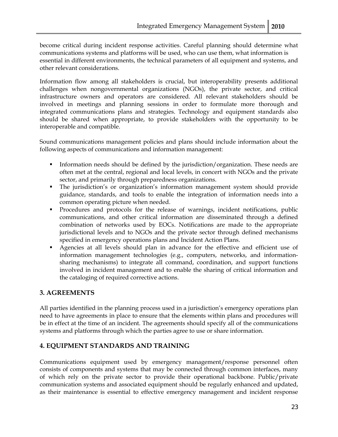become critical during incident response activities. Careful planning should determine what communications systems and platforms will be used, who can use them, what information is essential in different environments, the technical parameters of all equipment and systems, and other relevant considerations.

Information flow among all stakeholders is crucial, but interoperability presents additional challenges when nongovernmental organizations (NGOs), the private sector, and critical infrastructure owners and operators are considered. All relevant stakeholders should be involved in meetings and planning sessions in order to formulate more thorough and integrated communications plans and strategies. Technology and equipment standards also should be shared when appropriate, to provide stakeholders with the opportunity to be interoperable and compatible.

Sound communications management policies and plans should include information about the following aspects of communications and information management:

- Information needs should be defined by the jurisdiction/organization. These needs are often met at the central, regional and local levels, in concert with NGOs and the private sector, and primarily through preparedness organizations.
- The jurisdiction's or organization's information management system should provide guidance, standards, and tools to enable the integration of information needs into a common operating picture when needed.
- Procedures and protocols for the release of warnings, incident notifications, public communications, and other critical information are disseminated through a defined combination of networks used by EOCs. Notifications are made to the appropriate jurisdictional levels and to NGOs and the private sector through defined mechanisms specified in emergency operations plans and Incident Action Plans.
- Agencies at all levels should plan in advance for the effective and efficient use of information management technologies (e.g., computers, networks, and informationsharing mechanisms) to integrate all command, coordination, and support functions involved in incident management and to enable the sharing of critical information and the cataloging of required corrective actions.

#### **3. AGREEMENTS**

All parties identified in the planning process used in a jurisdiction's emergency operations plan need to have agreements in place to ensure that the elements within plans and procedures will be in effect at the time of an incident. The agreements should specify all of the communications systems and platforms through which the parties agree to use or share information.

#### **4. EQUIPMENT STANDARDS AND TRAINING**

Communications equipment used by emergency management/response personnel often consists of components and systems that may be connected through common interfaces, many of which rely on the private sector to provide their operational backbone. Public/private communication systems and associated equipment should be regularly enhanced and updated, as their maintenance is essential to effective emergency management and incident response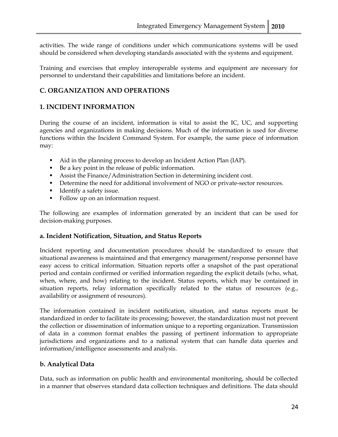activities. The wide range of conditions under which communications systems will be used should be considered when developing standards associated with the systems and equipment.

Training and exercises that employ interoperable systems and equipment are necessary for personnel to understand their capabilities and limitations before an incident.

#### **C. ORGANIZATION AND OPERATIONS**

#### **1. INCIDENT INFORMATION**

During the course of an incident, information is vital to assist the IC, UC, and supporting agencies and organizations in making decisions. Much of the information is used for diverse functions within the Incident Command System. For example, the same piece of information may:

- Aid in the planning process to develop an Incident Action Plan (IAP).
- Be a key point in the release of public information.
- Assist the Finance/Administration Section in determining incident cost.
- **Determine the need for additional involvement of NGO or private-sector resources.**
- **IDENTIFY** a safety issue.
- Follow up on an information request.

The following are examples of information generated by an incident that can be used for decision-making purposes.

#### **a. Incident Notification, Situation, and Status Reports**

Incident reporting and documentation procedures should be standardized to ensure that situational awareness is maintained and that emergency management/response personnel have easy access to critical information. Situation reports offer a snapshot of the past operational period and contain confirmed or verified information regarding the explicit details (who, what, when, where, and how) relating to the incident. Status reports, which may be contained in situation reports, relay information specifically related to the status of resources (e.g., availability or assignment of resources).

The information contained in incident notification, situation, and status reports must be standardized in order to facilitate its processing; however, the standardization must not prevent the collection or dissemination of information unique to a reporting organization. Transmission of data in a common format enables the passing of pertinent information to appropriate jurisdictions and organizations and to a national system that can handle data queries and information/intelligence assessments and analysis.

#### **b. Analytical Data**

Data, such as information on public health and environmental monitoring, should be collected in a manner that observes standard data collection techniques and definitions. The data should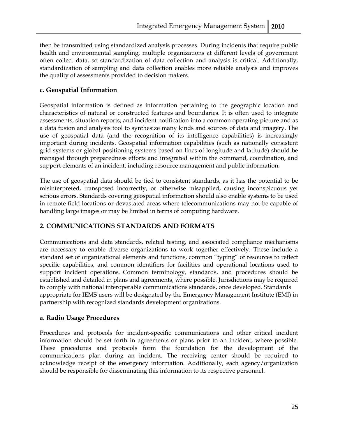then be transmitted using standardized analysis processes. During incidents that require public health and environmental sampling, multiple organizations at different levels of government often collect data, so standardization of data collection and analysis is critical. Additionally, standardization of sampling and data collection enables more reliable analysis and improves the quality of assessments provided to decision makers.

#### **c. Geospatial Information**

Geospatial information is defined as information pertaining to the geographic location and characteristics of natural or constructed features and boundaries. It is often used to integrate assessments, situation reports, and incident notification into a common operating picture and as a data fusion and analysis tool to synthesize many kinds and sources of data and imagery. The use of geospatial data (and the recognition of its intelligence capabilities) is increasingly important during incidents. Geospatial information capabilities (such as nationally consistent grid systems or global positioning systems based on lines of longitude and latitude) should be managed through preparedness efforts and integrated within the command, coordination, and support elements of an incident, including resource management and public information.

The use of geospatial data should be tied to consistent standards, as it has the potential to be misinterpreted, transposed incorrectly, or otherwise misapplied, causing inconspicuous yet serious errors. Standards covering geospatial information should also enable systems to be used in remote field locations or devastated areas where telecommunications may not be capable of handling large images or may be limited in terms of computing hardware.

## **2. COMMUNICATIONS STANDARDS AND FORMATS**

Communications and data standards, related testing, and associated compliance mechanisms are necessary to enable diverse organizations to work together effectively. These include a standard set of organizational elements and functions, common "typing" of resources to reflect specific capabilities, and common identifiers for facilities and operational locations used to support incident operations. Common terminology, standards, and procedures should be established and detailed in plans and agreements, where possible. Jurisdictions may be required to comply with national interoperable communications standards, once developed. Standards appropriate for IEMS users will be designated by the Emergency Management Institute (EMI) in partnership with recognized standards development organizations.

#### **a. Radio Usage Procedures**

Procedures and protocols for incident-specific communications and other critical incident information should be set forth in agreements or plans prior to an incident, where possible. These procedures and protocols form the foundation for the development of the communications plan during an incident. The receiving center should be required to acknowledge receipt of the emergency information. Additionally, each agency/organization should be responsible for disseminating this information to its respective personnel.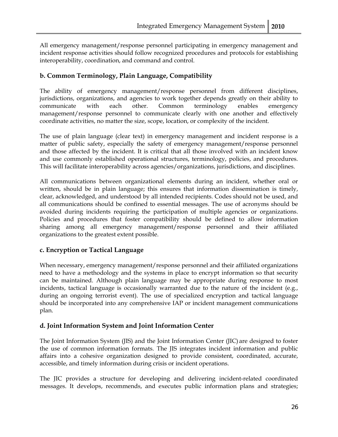All emergency management/response personnel participating in emergency management and incident response activities should follow recognized procedures and protocols for establishing interoperability, coordination, and command and control.

#### **b. Common Terminology, Plain Language, Compatibility**

The ability of emergency management/response personnel from different disciplines, jurisdictions, organizations, and agencies to work together depends greatly on their ability to communicate with each other. Common terminology enables emergency management/response personnel to communicate clearly with one another and effectively coordinate activities, no matter the size, scope, location, or complexity of the incident.

The use of plain language (clear text) in emergency management and incident response is a matter of public safety, especially the safety of emergency management/response personnel and those affected by the incident. It is critical that all those involved with an incident know and use commonly established operational structures, terminology, policies, and procedures. This will facilitate interoperability across agencies/organizations, jurisdictions, and disciplines.

All communications between organizational elements during an incident, whether oral or written, should be in plain language; this ensures that information dissemination is timely, clear, acknowledged, and understood by all intended recipients. Codes should not be used, and all communications should be confined to essential messages. The use of acronyms should be avoided during incidents requiring the participation of multiple agencies or organizations. Policies and procedures that foster compatibility should be defined to allow information sharing among all emergency management/response personnel and their affiliated organizations to the greatest extent possible.

#### **c. Encryption or Tactical Language**

When necessary, emergency management/response personnel and their affiliated organizations need to have a methodology and the systems in place to encrypt information so that security can be maintained. Although plain language may be appropriate during response to most incidents, tactical language is occasionally warranted due to the nature of the incident (e.g., during an ongoing terrorist event). The use of specialized encryption and tactical language should be incorporated into any comprehensive IAP or incident management communications plan.

#### **d. Joint Information System and Joint Information Center**

The Joint Information System (JIS) and the Joint Information Center (JIC) are designed to foster the use of common information formats. The JIS integrates incident information and public affairs into a cohesive organization designed to provide consistent, coordinated, accurate, accessible, and timely information during crisis or incident operations.

The JIC provides a structure for developing and delivering incident-related coordinated messages. It develops, recommends, and executes public information plans and strategies;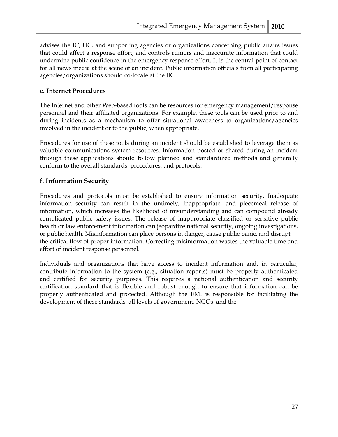advises the IC, UC, and supporting agencies or organizations concerning public affairs issues that could affect a response effort; and controls rumors and inaccurate information that could undermine public confidence in the emergency response effort. It is the central point of contact for all news media at the scene of an incident. Public information officials from all participating agencies/organizations should co-locate at the JIC.

#### **e. Internet Procedures**

The Internet and other Web-based tools can be resources for emergency management/response personnel and their affiliated organizations. For example, these tools can be used prior to and during incidents as a mechanism to offer situational awareness to organizations/agencies involved in the incident or to the public, when appropriate.

Procedures for use of these tools during an incident should be established to leverage them as valuable communications system resources. Information posted or shared during an incident through these applications should follow planned and standardized methods and generally conform to the overall standards, procedures, and protocols.

#### **f. Information Security**

Procedures and protocols must be established to ensure information security. Inadequate information security can result in the untimely, inappropriate, and piecemeal release of information, which increases the likelihood of misunderstanding and can compound already complicated public safety issues. The release of inappropriate classified or sensitive public health or law enforcement information can jeopardize national security, ongoing investigations, or public health. Misinformation can place persons in danger, cause public panic, and disrupt the critical flow of proper information. Correcting misinformation wastes the valuable time and effort of incident response personnel.

Individuals and organizations that have access to incident information and, in particular, contribute information to the system (e.g., situation reports) must be properly authenticated and certified for security purposes. This requires a national authentication and security certification standard that is flexible and robust enough to ensure that information can be properly authenticated and protected. Although the EMI is responsible for facilitating the development of these standards, all levels of government, NGOs, and the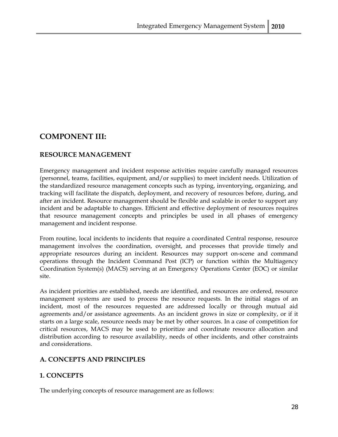# **COMPONENT III:**

# **RESOURCE MANAGEMENT**

Emergency management and incident response activities require carefully managed resources (personnel, teams, facilities, equipment, and/or supplies) to meet incident needs. Utilization of the standardized resource management concepts such as typing, inventorying, organizing, and tracking will facilitate the dispatch, deployment, and recovery of resources before, during, and after an incident. Resource management should be flexible and scalable in order to support any incident and be adaptable to changes. Efficient and effective deployment of resources requires that resource management concepts and principles be used in all phases of emergency management and incident response.

From routine, local incidents to incidents that require a coordinated Central response, resource management involves the coordination, oversight, and processes that provide timely and appropriate resources during an incident. Resources may support on-scene and command operations through the Incident Command Post (ICP) or function within the Multiagency Coordination System(s) (MACS) serving at an Emergency Operations Center (EOC) or similar site.

As incident priorities are established, needs are identified, and resources are ordered, resource management systems are used to process the resource requests. In the initial stages of an incident, most of the resources requested are addressed locally or through mutual aid agreements and/or assistance agreements. As an incident grows in size or complexity, or if it starts on a large scale, resource needs may be met by other sources. In a case of competition for critical resources, MACS may be used to prioritize and coordinate resource allocation and distribution according to resource availability, needs of other incidents, and other constraints and considerations.

# **A. CONCEPTS AND PRINCIPLES**

# **1. CONCEPTS**

The underlying concepts of resource management are as follows: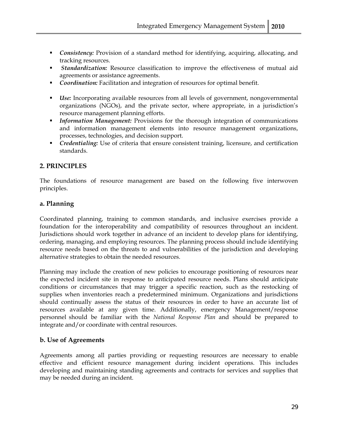- *Consistency:* Provision of a standard method for identifying, acquiring, allocating, and tracking resources.
- *Standardization:* Resource classification to improve the effectiveness of mutual aid agreements or assistance agreements.
- *Coordination:* Facilitation and integration of resources for optimal benefit.
- *Use:* Incorporating available resources from all levels of government, nongovernmental organizations (NGOs), and the private sector, where appropriate, in a jurisdiction's resource management planning efforts.
- *Information Management:* Provisions for the thorough integration of communications and information management elements into resource management organizations, processes, technologies, and decision support.
- *Credentialing:* Use of criteria that ensure consistent training, licensure, and certification standards.

# **2. PRINCIPLES**

The foundations of resource management are based on the following five interwoven principles.

## **a. Planning**

Coordinated planning, training to common standards, and inclusive exercises provide a foundation for the interoperability and compatibility of resources throughout an incident. Jurisdictions should work together in advance of an incident to develop plans for identifying, ordering, managing, and employing resources. The planning process should include identifying resource needs based on the threats to and vulnerabilities of the jurisdiction and developing alternative strategies to obtain the needed resources.

Planning may include the creation of new policies to encourage positioning of resources near the expected incident site in response to anticipated resource needs. Plans should anticipate conditions or circumstances that may trigger a specific reaction, such as the restocking of supplies when inventories reach a predetermined minimum. Organizations and jurisdictions should continually assess the status of their resources in order to have an accurate list of resources available at any given time. Additionally, emergency Management/response personnel should be familiar with the *National Response Plan* and should be prepared to integrate and/or coordinate with central resources.

## **b. Use of Agreements**

Agreements among all parties providing or requesting resources are necessary to enable effective and efficient resource management during incident operations. This includes developing and maintaining standing agreements and contracts for services and supplies that may be needed during an incident.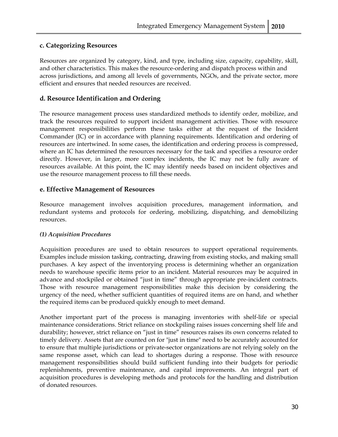## **c. Categorizing Resources**

Resources are organized by category, kind, and type, including size, capacity, capability, skill, and other characteristics. This makes the resource-ordering and dispatch process within and across jurisdictions, and among all levels of governments, NGOs, and the private sector, more efficient and ensures that needed resources are received.

## **d. Resource Identification and Ordering**

The resource management process uses standardized methods to identify order, mobilize, and track the resources required to support incident management activities. Those with resource management responsibilities perform these tasks either at the request of the Incident Commander (IC) or in accordance with planning requirements. Identification and ordering of resources are intertwined. In some cases, the identification and ordering process is compressed, where an IC has determined the resources necessary for the task and specifies a resource order directly. However, in larger, more complex incidents, the IC may not be fully aware of resources available. At this point, the IC may identify needs based on incident objectives and use the resource management process to fill these needs.

## **e. Effective Management of Resources**

Resource management involves acquisition procedures, management information, and redundant systems and protocols for ordering, mobilizing, dispatching, and demobilizing resources.

## *(1) Acquisition Procedures*

Acquisition procedures are used to obtain resources to support operational requirements. Examples include mission tasking, contracting, drawing from existing stocks, and making small purchases. A key aspect of the inventorying process is determining whether an organization needs to warehouse specific items prior to an incident. Material resources may be acquired in advance and stockpiled or obtained "just in time" through appropriate pre-incident contracts. Those with resource management responsibilities make this decision by considering the urgency of the need, whether sufficient quantities of required items are on hand, and whether the required items can be produced quickly enough to meet demand.

Another important part of the process is managing inventories with shelf-life or special maintenance considerations. Strict reliance on stockpiling raises issues concerning shelf life and durability; however, strict reliance on "just in time" resources raises its own concerns related to timely delivery. Assets that are counted on for "just in time" need to be accurately accounted for to ensure that multiple jurisdictions or private-sector organizations are not relying solely on the same response asset, which can lead to shortages during a response. Those with resource management responsibilities should build sufficient funding into their budgets for periodic replenishments, preventive maintenance, and capital improvements. An integral part of acquisition procedures is developing methods and protocols for the handling and distribution of donated resources.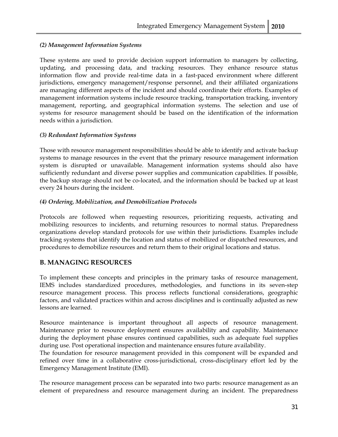## *(2) Management Information Systems*

These systems are used to provide decision support information to managers by collecting, updating, and processing data, and tracking resources. They enhance resource status information flow and provide real-time data in a fast-paced environment where different jurisdictions, emergency management/response personnel, and their affiliated organizations are managing different aspects of the incident and should coordinate their efforts. Examples of management information systems include resource tracking, transportation tracking, inventory management, reporting, and geographical information systems. The selection and use of systems for resource management should be based on the identification of the information needs within a jurisdiction.

## *(3) Redundant Information Systems*

Those with resource management responsibilities should be able to identify and activate backup systems to manage resources in the event that the primary resource management information system is disrupted or unavailable. Management information systems should also have sufficiently redundant and diverse power supplies and communication capabilities. If possible, the backup storage should not be co-located, and the information should be backed up at least every 24 hours during the incident.

## *(4) Ordering, Mobilization, and Demobilization Protocols*

Protocols are followed when requesting resources, prioritizing requests, activating and mobilizing resources to incidents, and returning resources to normal status. Preparedness organizations develop standard protocols for use within their jurisdictions. Examples include tracking systems that identify the location and status of mobilized or dispatched resources, and procedures to demobilize resources and return them to their original locations and status.

# **B. MANAGING RESOURCES**

To implement these concepts and principles in the primary tasks of resource management, IEMS includes standardized procedures, methodologies, and functions in its seven-step resource management process. This process reflects functional considerations, geographic factors, and validated practices within and across disciplines and is continually adjusted as new lessons are learned.

Resource maintenance is important throughout all aspects of resource management. Maintenance prior to resource deployment ensures availability and capability. Maintenance during the deployment phase ensures continued capabilities, such as adequate fuel supplies during use. Post operational inspection and maintenance ensures future availability.

The foundation for resource management provided in this component will be expanded and refined over time in a collaborative cross-jurisdictional, cross-disciplinary effort led by the Emergency Management Institute (EMI).

The resource management process can be separated into two parts: resource management as an element of preparedness and resource management during an incident. The preparedness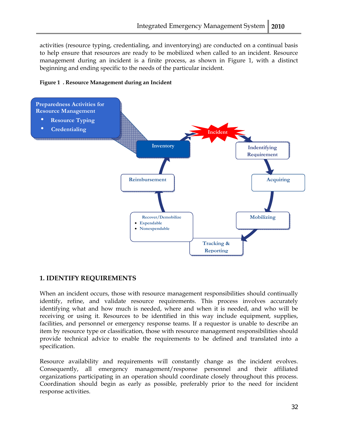activities (resource typing, credentialing, and inventorying) are conducted on a continual basis to help ensure that resources are ready to be mobilized when called to an incident. Resource management during an incident is a finite process, as shown in Figure 1, with a distinct beginning and ending specific to the needs of the particular incident.





## **1. IDENTIFY REQUIREMENTS**

When an incident occurs, those with resource management responsibilities should continually identify, refine, and validate resource requirements. This process involves accurately identifying what and how much is needed, where and when it is needed, and who will be receiving or using it. Resources to be identified in this way include equipment, supplies, facilities, and personnel or emergency response teams. If a requestor is unable to describe an item by resource type or classification, those with resource management responsibilities should provide technical advice to enable the requirements to be defined and translated into a specification.

Resource availability and requirements will constantly change as the incident evolves. Consequently, all emergency management/response personnel and their affiliated organizations participating in an operation should coordinate closely throughout this process. Coordination should begin as early as possible, preferably prior to the need for incident response activities.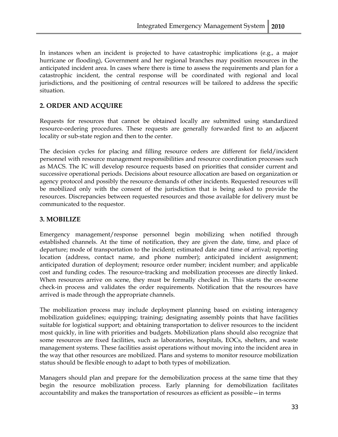In instances when an incident is projected to have catastrophic implications (e.g., a major hurricane or flooding), Government and her regional branches may position resources in the anticipated incident area. In cases where there is time to assess the requirements and plan for a catastrophic incident, the central response will be coordinated with regional and local jurisdictions, and the positioning of central resources will be tailored to address the specific situation.

# **2. ORDER AND ACQUIRE**

Requests for resources that cannot be obtained locally are submitted using standardized resource-ordering procedures. These requests are generally forwarded first to an adjacent locality or sub-state region and then to the center.

The decision cycles for placing and filling resource orders are different for field/incident personnel with resource management responsibilities and resource coordination processes such as MACS. The IC will develop resource requests based on priorities that consider current and successive operational periods. Decisions about resource allocation are based on organization or agency protocol and possibly the resource demands of other incidents. Requested resources will be mobilized only with the consent of the jurisdiction that is being asked to provide the resources. Discrepancies between requested resources and those available for delivery must be communicated to the requestor.

# **3. MOBILIZE**

Emergency management/response personnel begin mobilizing when notified through established channels. At the time of notification, they are given the date, time, and place of departure; mode of transportation to the incident; estimated date and time of arrival; reporting location (address, contact name, and phone number); anticipated incident assignment; anticipated duration of deployment; resource order number; incident number; and applicable cost and funding codes. The resource-tracking and mobilization processes are directly linked. When resources arrive on scene, they must be formally checked in. This starts the on-scene check-in process and validates the order requirements. Notification that the resources have arrived is made through the appropriate channels.

The mobilization process may include deployment planning based on existing interagency mobilization guidelines; equipping; training; designating assembly points that have facilities suitable for logistical support; and obtaining transportation to deliver resources to the incident most quickly, in line with priorities and budgets. Mobilization plans should also recognize that some resources are fixed facilities, such as laboratories, hospitals, EOCs, shelters, and waste management systems. These facilities assist operations without moving into the incident area in the way that other resources are mobilized. Plans and systems to monitor resource mobilization status should be flexible enough to adapt to both types of mobilization.

Managers should plan and prepare for the demobilization process at the same time that they begin the resource mobilization process. Early planning for demobilization facilitates accountability and makes the transportation of resources as efficient as possible—in terms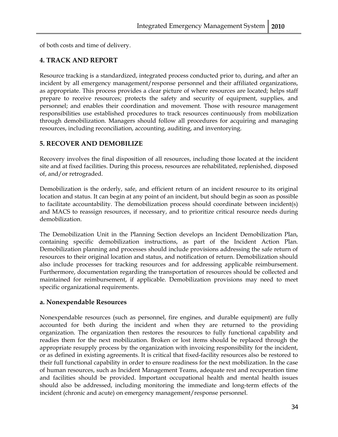of both costs and time of delivery.

## **4. TRACK AND REPORT**

Resource tracking is a standardized, integrated process conducted prior to, during, and after an incident by all emergency management/response personnel and their affiliated organizations, as appropriate. This process provides a clear picture of where resources are located; helps staff prepare to receive resources; protects the safety and security of equipment, supplies, and personnel; and enables their coordination and movement. Those with resource management responsibilities use established procedures to track resources continuously from mobilization through demobilization. Managers should follow all procedures for acquiring and managing resources, including reconciliation, accounting, auditing, and inventorying.

## **5. RECOVER AND DEMOBILIZE**

Recovery involves the final disposition of all resources, including those located at the incident site and at fixed facilities. During this process, resources are rehabilitated, replenished, disposed of, and/or retrograded.

Demobilization is the orderly, safe, and efficient return of an incident resource to its original location and status. It can begin at any point of an incident, but should begin as soon as possible to facilitate accountability. The demobilization process should coordinate between incident(s) and MACS to reassign resources, if necessary, and to prioritize critical resource needs during demobilization.

The Demobilization Unit in the Planning Section develops an Incident Demobilization Plan, containing specific demobilization instructions, as part of the Incident Action Plan. Demobilization planning and processes should include provisions addressing the safe return of resources to their original location and status, and notification of return. Demobilization should also include processes for tracking resources and for addressing applicable reimbursement. Furthermore, documentation regarding the transportation of resources should be collected and maintained for reimbursement, if applicable. Demobilization provisions may need to meet specific organizational requirements.

## **a. Nonexpendable Resources**

Nonexpendable resources (such as personnel, fire engines, and durable equipment) are fully accounted for both during the incident and when they are returned to the providing organization. The organization then restores the resources to fully functional capability and readies them for the next mobilization. Broken or lost items should be replaced through the appropriate resupply process by the organization with invoicing responsibility for the incident, or as defined in existing agreements. It is critical that fixed-facility resources also be restored to their full functional capability in order to ensure readiness for the next mobilization. In the case of human resources, such as Incident Management Teams, adequate rest and recuperation time and facilities should be provided. Important occupational health and mental health issues should also be addressed, including monitoring the immediate and long-term effects of the incident (chronic and acute) on emergency management/response personnel.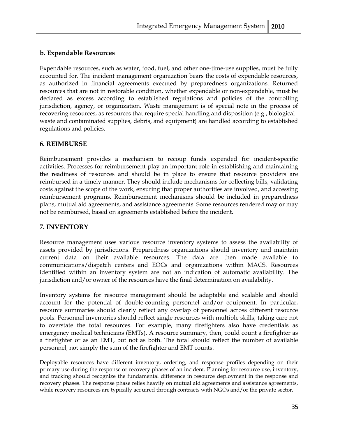## **b. Expendable Resources**

Expendable resources, such as water, food, fuel, and other one-time-use supplies, must be fully accounted for. The incident management organization bears the costs of expendable resources, as authorized in financial agreements executed by preparedness organizations. Returned resources that are not in restorable condition, whether expendable or non-expendable, must be declared as excess according to established regulations and policies of the controlling jurisdiction, agency, or organization. Waste management is of special note in the process of recovering resources, as resources that require special handling and disposition (e.g., biological waste and contaminated supplies, debris, and equipment) are handled according to established regulations and policies.

## **6. REIMBURSE**

Reimbursement provides a mechanism to recoup funds expended for incident-specific activities. Processes for reimbursement play an important role in establishing and maintaining the readiness of resources and should be in place to ensure that resource providers are reimbursed in a timely manner. They should include mechanisms for collecting bills, validating costs against the scope of the work, ensuring that proper authorities are involved, and accessing reimbursement programs. Reimbursement mechanisms should be included in preparedness plans, mutual aid agreements, and assistance agreements. Some resources rendered may or may not be reimbursed, based on agreements established before the incident.

## **7. INVENTORY**

Resource management uses various resource inventory systems to assess the availability of assets provided by jurisdictions. Preparedness organizations should inventory and maintain current data on their available resources. The data are then made available to communications/dispatch centers and EOCs and organizations within MACS. Resources identified within an inventory system are not an indication of automatic availability. The jurisdiction and/or owner of the resources have the final determination on availability.

Inventory systems for resource management should be adaptable and scalable and should account for the potential of double-counting personnel and/or equipment. In particular, resource summaries should clearly reflect any overlap of personnel across different resource pools. Personnel inventories should reflect single resources with multiple skills, taking care not to overstate the total resources. For example, many firefighters also have credentials as emergency medical technicians (EMTs). A resource summary, then, could count a firefighter as a firefighter or as an EMT, but not as both. The total should reflect the number of available personnel, not simply the sum of the firefighter and EMT counts.

Deployable resources have different inventory, ordering, and response profiles depending on their primary use during the response or recovery phases of an incident. Planning for resource use, inventory, and tracking should recognize the fundamental difference in resource deployment in the response and recovery phases. The response phase relies heavily on mutual aid agreements and assistance agreements, while recovery resources are typically acquired through contracts with NGOs and/or the private sector.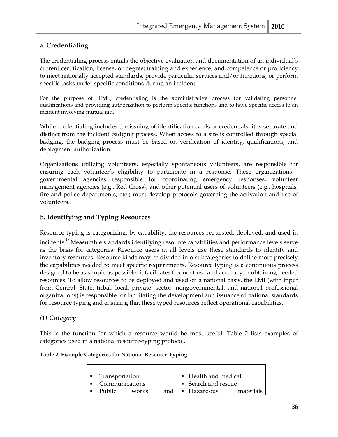# **a. Credentialing**

The credentialing process entails the objective evaluation and documentation of an individual's current certification, license, or degree; training and experience; and competence or proficiency to meet nationally accepted standards, provide particular services and/or functions, or perform specific tasks under specific conditions during an incident.

For the purpose of IEMS, credentialing is the administrative process for validating personnel qualifications and providing authorization to perform specific functions and to have specific access to an incident involving mutual aid.

While credentialing includes the issuing of identification cards or credentials, it is separate and distinct from the incident badging process. When access to a site is controlled through special badging, the badging process must be based on verification of identity, qualifications, and deployment authorization.

Organizations utilizing volunteers, especially spontaneous volunteers, are responsible for ensuring each volunteer's eligibility to participate in a response. These organizations governmental agencies responsible for coordinating emergency responses, volunteer management agencies (e.g., Red Cross), and other potential users of volunteers (e.g., hospitals, fire and police departments, etc.) must develop protocols governing the activation and use of volunteers.

## **b. Identifying and Typing Resources**

Resource typing is categorizing, by capability, the resources requested, deployed, and used in

incidents.<sup>17</sup> Measurable standards identifying resource capabilities and performance levels serve as the basis for categories. Resource users at all levels use these standards to identify and inventory resources. Resource kinds may be divided into subcategories to define more precisely the capabilities needed to meet specific requirements. Resource typing is a continuous process designed to be as simple as possible; it facilitates frequent use and accuracy in obtaining needed resources. To allow resources to be deployed and used on a national basis, the EMI (with input from Central, State, tribal, local, private- sector, nongovernmental, and national professional organizations) is responsible for facilitating the development and issuance of national standards for resource typing and ensuring that these typed resources reflect operational capabilities.

# *(1) Category*

This is the function for which a resource would be most useful. Table 2 lists examples of categories used in a national resource-typing protocol.

#### **Table 2. Example Categories for National Resource Typing**

| $\blacksquare$ Transportation |       |  | • Health and medical |           |
|-------------------------------|-------|--|----------------------|-----------|
| $\blacksquare$ Communications |       |  | • Search and rescue  |           |
| Public                        | works |  | and • Hazardous      | materials |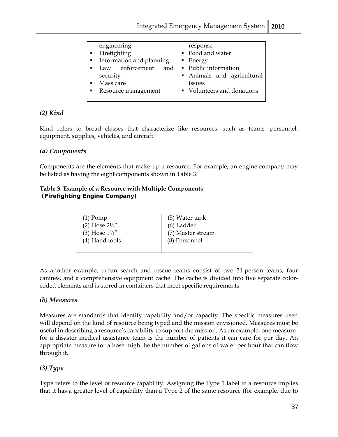| engineering              | response                   |
|--------------------------|----------------------------|
| • Firefighting           | • Food and water           |
| Information and planning | $\blacksquare$ Energy      |
| Law enforcement<br>and   | • Public information       |
| security                 | • Animals and agricultural |
| Mass care                | issues                     |
| Resource management      | • Volunteers and donations |
|                          |                            |

# *(2) Kind*

Kind refers to broad classes that characterize like resources, such as teams, personnel, equipment, supplies, vehicles, and aircraft.

## *(a) Components*

Components are the elements that make up a resource. For example, an engine company may be listed as having the eight components shown in Table 3.

## **Table 3. Example of a Resource with Multiple Components (Firefighting Engine Company)**

| $(1)$ Pomp                  | (5) Water tank    |
|-----------------------------|-------------------|
| $(2)$ Hose $2\frac{1}{2}$ " | (6) Ladder        |
| $(3)$ Hose $1\frac{3}{4}$ " | (7) Master stream |
| (4) Hand tools              | (8) Personnel     |
|                             |                   |

As another example, urban search and rescue teams consist of two 31-person teams, four canines, and a comprehensive equipment cache. The cache is divided into five separate colorcoded elements and is stored in containers that meet specific requirements.

# *(b) Measures*

Measures are standards that identify capability and/or capacity. The specific measures used will depend on the kind of resource being typed and the mission envisioned. Measures must be useful in describing a resource's capability to support the mission. As an example, one measure for a disaster medical assistance team is the number of patients it can care for per day. An appropriate measure for a hose might be the number of gallons of water per hour that can flow through it.

# *(3) Type*

Type refers to the level of resource capability. Assigning the Type 1 label to a resource implies that it has a greater level of capability than a Type 2 of the same resource (for example, due to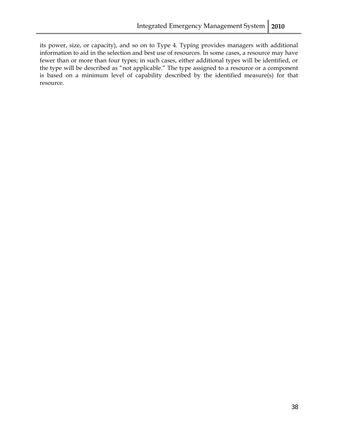its power, size, or capacity), and so on to Type 4. Typing provides managers with additional information to aid in the selection and best use of resources. In some cases, a resource may have fewer than or more than four types; in such cases, either additional types will be identified, or the type will be described as "not applicable." The type assigned to a resource or a component is based on a minimum level of capability described by the identified measure(s) for that resource.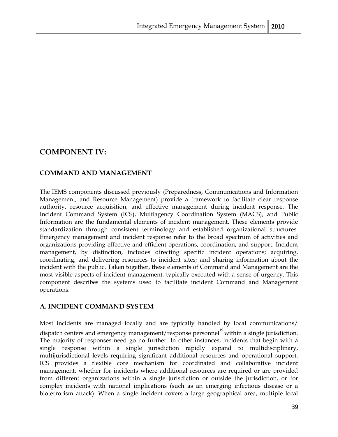# **COMPONENT IV:**

## **COMMAND AND MANAGEMENT**

The IEMS components discussed previously (Preparedness, Communications and Information Management, and Resource Management) provide a framework to facilitate clear response authority, resource acquisition, and effective management during incident response. The Incident Command System (ICS), Multiagency Coordination System (MACS), and Public Information are the fundamental elements of incident management. These elements provide standardization through consistent terminology and established organizational structures. Emergency management and incident response refer to the broad spectrum of activities and organizations providing effective and efficient operations, coordination, and support. Incident management, by distinction, includes directing specific incident operations; acquiring, coordinating, and delivering resources to incident sites; and sharing information about the incident with the public. Taken together, these elements of Command and Management are the most visible aspects of incident management, typically executed with a sense of urgency. This component describes the systems used to facilitate incident Command and Management operations.

#### **A. INCIDENT COMMAND SYSTEM**

Most incidents are managed locally and are typically handled by local communications/ dispatch centers and emergency management/response personnel<sup>19</sup> within a single jurisdiction. The majority of responses need go no further. In other instances, incidents that begin with a single response within a single jurisdiction rapidly expand to multidisciplinary, multijurisdictional levels requiring significant additional resources and operational support. ICS provides a flexible core mechanism for coordinated and collaborative incident management, whether for incidents where additional resources are required or are provided from different organizations within a single jurisdiction or outside the jurisdiction, or for complex incidents with national implications (such as an emerging infectious disease or a bioterrorism attack). When a single incident covers a large geographical area, multiple local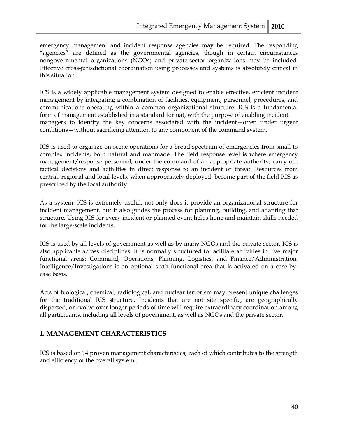emergency management and incident response agencies may be required. The responding "agencies" are defined as the governmental agencies, though in certain circumstances nongovernmental organizations (NGOs) and private-sector organizations may be included. Effective cross-jurisdictional coordination using processes and systems is absolutely critical in this situation.

ICS is a widely applicable management system designed to enable effective, efficient incident management by integrating a combination of facilities, equipment, personnel, procedures, and communications operating within a common organizational structure. ICS is a fundamental form of management established in a standard format, with the purpose of enabling incident managers to identify the key concerns associated with the incident—often under urgent conditions—without sacrificing attention to any component of the command system.

ICS is used to organize on-scene operations for a broad spectrum of emergencies from small to complex incidents, both natural and manmade. The field response level is where emergency management/response personnel, under the command of an appropriate authority, carry out tactical decisions and activities in direct response to an incident or threat. Resources from central, regional and local levels, when appropriately deployed, become part of the field ICS as prescribed by the local authority.

As a system, ICS is extremely useful; not only does it provide an organizational structure for incident management, but it also guides the process for planning, building, and adapting that structure. Using ICS for every incident or planned event helps hone and maintain skills needed for the large-scale incidents.

ICS is used by all levels of government as well as by many NGOs and the private sector. ICS is also applicable across disciplines. It is normally structured to facilitate activities in five major functional areas: Command, Operations, Planning, Logistics, and Finance/Administration. Intelligence/Investigations is an optional sixth functional area that is activated on a case-bycase basis.

Acts of biological, chemical, radiological, and nuclear terrorism may present unique challenges for the traditional ICS structure. Incidents that are not site specific, are geographically dispersed, or evolve over longer periods of time will require extraordinary coordination among all participants, including all levels of government, as well as NGOs and the private sector.

# **1. MANAGEMENT CHARACTERISTICS**

ICS is based on 14 proven management characteristics, each of which contributes to the strength and efficiency of the overall system.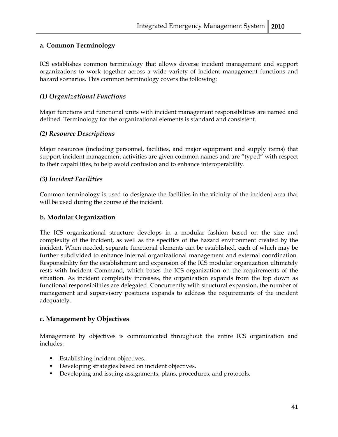# **a. Common Terminology**

ICS establishes common terminology that allows diverse incident management and support organizations to work together across a wide variety of incident management functions and hazard scenarios. This common terminology covers the following:

## *(1) Organizational Functions*

Major functions and functional units with incident management responsibilities are named and defined. Terminology for the organizational elements is standard and consistent.

## *(2) Resource Descriptions*

Major resources (including personnel, facilities, and major equipment and supply items) that support incident management activities are given common names and are "typed" with respect to their capabilities, to help avoid confusion and to enhance interoperability.

## *(3) Incident Facilities*

Common terminology is used to designate the facilities in the vicinity of the incident area that will be used during the course of the incident.

## **b. Modular Organization**

The ICS organizational structure develops in a modular fashion based on the size and complexity of the incident, as well as the specifics of the hazard environment created by the incident. When needed, separate functional elements can be established, each of which may be further subdivided to enhance internal organizational management and external coordination. Responsibility for the establishment and expansion of the ICS modular organization ultimately rests with Incident Command, which bases the ICS organization on the requirements of the situation. As incident complexity increases, the organization expands from the top down as functional responsibilities are delegated. Concurrently with structural expansion, the number of management and supervisory positions expands to address the requirements of the incident adequately.

## **c. Management by Objectives**

Management by objectives is communicated throughout the entire ICS organization and includes:

- Establishing incident objectives.
- Developing strategies based on incident objectives.
- Developing and issuing assignments, plans, procedures, and protocols.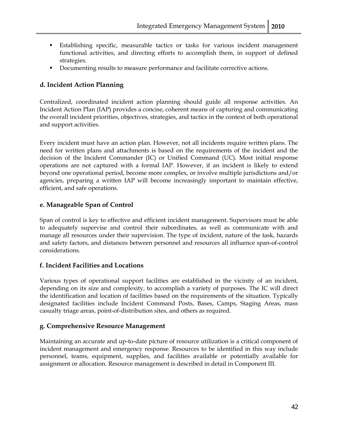- Establishing specific, measurable tactics or tasks for various incident management functional activities, and directing efforts to accomplish them, in support of defined strategies.
- Documenting results to measure performance and facilitate corrective actions.

# **d. Incident Action Planning**

Centralized, coordinated incident action planning should guide all response activities. An Incident Action Plan (IAP) provides a concise, coherent means of capturing and communicating the overall incident priorities, objectives, strategies, and tactics in the context of both operational and support activities.

Every incident must have an action plan. However, not all incidents require written plans. The need for written plans and attachments is based on the requirements of the incident and the decision of the Incident Commander (IC) or Unified Command (UC). Most initial response operations are not captured with a formal IAP. However, if an incident is likely to extend beyond one operational period, become more complex, or involve multiple jurisdictions and/or agencies, preparing a written IAP will become increasingly important to maintain effective, efficient, and safe operations.

# **e. Manageable Span of Control**

Span of control is key to effective and efficient incident management. Supervisors must be able to adequately supervise and control their subordinates, as well as communicate with and manage all resources under their supervision. The type of incident, nature of the task, hazards and safety factors, and distances between personnel and resources all influence span-of-control considerations.

# **f. Incident Facilities and Locations**

Various types of operational support facilities are established in the vicinity of an incident, depending on its size and complexity, to accomplish a variety of purposes. The IC will direct the identification and location of facilities based on the requirements of the situation. Typically designated facilities include Incident Command Posts, Bases, Camps, Staging Areas, mass casualty triage areas, point-of-distribution sites, and others as required.

# **g. Comprehensive Resource Management**

Maintaining an accurate and up-to-date picture of resource utilization is a critical component of incident management and emergency response. Resources to be identified in this way include personnel, teams, equipment, supplies, and facilities available or potentially available for assignment or allocation. Resource management is described in detail in Component III.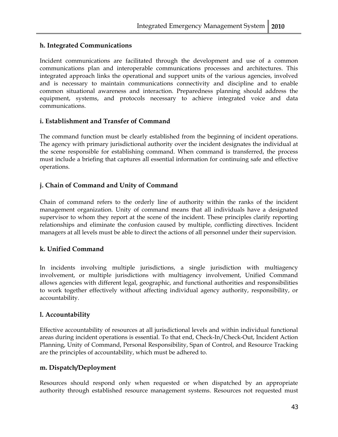# **h. Integrated Communications**

Incident communications are facilitated through the development and use of a common communications plan and interoperable communications processes and architectures. This integrated approach links the operational and support units of the various agencies, involved and is necessary to maintain communications connectivity and discipline and to enable common situational awareness and interaction. Preparedness planning should address the equipment, systems, and protocols necessary to achieve integrated voice and data communications.

## **i. Establishment and Transfer of Command**

The command function must be clearly established from the beginning of incident operations. The agency with primary jurisdictional authority over the incident designates the individual at the scene responsible for establishing command. When command is transferred, the process must include a briefing that captures all essential information for continuing safe and effective operations.

# **j. Chain of Command and Unity of Command**

Chain of command refers to the orderly line of authority within the ranks of the incident management organization. Unity of command means that all individuals have a designated supervisor to whom they report at the scene of the incident. These principles clarify reporting relationships and eliminate the confusion caused by multiple, conflicting directives. Incident managers at all levels must be able to direct the actions of all personnel under their supervision.

# **k. Unified Command**

In incidents involving multiple jurisdictions, a single jurisdiction with multiagency involvement, or multiple jurisdictions with multiagency involvement, Unified Command allows agencies with different legal, geographic, and functional authorities and responsibilities to work together effectively without affecting individual agency authority, responsibility, or accountability.

## **l. Accountability**

Effective accountability of resources at all jurisdictional levels and within individual functional areas during incident operations is essential. To that end, Check-In/Check-Out, Incident Action Planning, Unity of Command, Personal Responsibility, Span of Control, and Resource Tracking are the principles of accountability, which must be adhered to.

## **m. Dispatch/Deployment**

Resources should respond only when requested or when dispatched by an appropriate authority through established resource management systems. Resources not requested must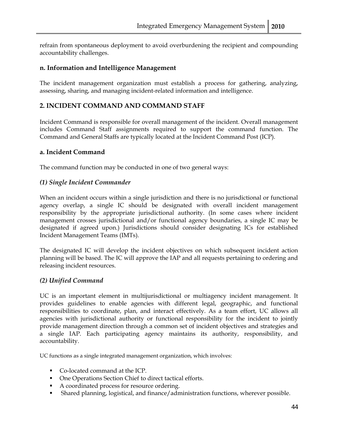refrain from spontaneous deployment to avoid overburdening the recipient and compounding accountability challenges.

## **n. Information and Intelligence Management**

The incident management organization must establish a process for gathering, analyzing, assessing, sharing, and managing incident-related information and intelligence.

# **2. INCIDENT COMMAND AND COMMAND STAFF**

Incident Command is responsible for overall management of the incident. Overall management includes Command Staff assignments required to support the command function. The Command and General Staffs are typically located at the Incident Command Post (ICP).

## **a. Incident Command**

The command function may be conducted in one of two general ways:

# *(1) Single Incident Commander*

When an incident occurs within a single jurisdiction and there is no jurisdictional or functional agency overlap, a single IC should be designated with overall incident management responsibility by the appropriate jurisdictional authority. (In some cases where incident management crosses jurisdictional and/or functional agency boundaries, a single IC may be designated if agreed upon.) Jurisdictions should consider designating ICs for established Incident Management Teams (IMTs).

The designated IC will develop the incident objectives on which subsequent incident action planning will be based. The IC will approve the IAP and all requests pertaining to ordering and releasing incident resources.

# *(2) Unified Command*

UC is an important element in multijurisdictional or multiagency incident management. It provides guidelines to enable agencies with different legal, geographic, and functional responsibilities to coordinate, plan, and interact effectively. As a team effort, UC allows all agencies with jurisdictional authority or functional responsibility for the incident to jointly provide management direction through a common set of incident objectives and strategies and a single IAP. Each participating agency maintains its authority, responsibility, and accountability.

UC functions as a single integrated management organization, which involves:

- Co-located command at the ICP.
- One Operations Section Chief to direct tactical efforts.
- A coordinated process for resource ordering.
- Shared planning, logistical, and finance/administration functions, wherever possible.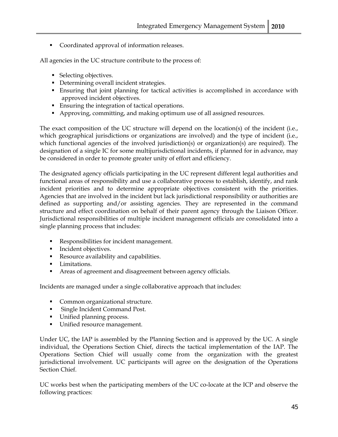**Coordinated approval of information releases.** 

All agencies in the UC structure contribute to the process of:

- Selecting objectives.
- Determining overall incident strategies.
- Ensuring that joint planning for tactical activities is accomplished in accordance with approved incident objectives.
- **Ensuring the integration of tactical operations.**
- Approving, committing, and making optimum use of all assigned resources.

The exact composition of the UC structure will depend on the location(s) of the incident (i.e., which geographical jurisdictions or organizations are involved) and the type of incident (i.e., which functional agencies of the involved jurisdiction(s) or organization(s) are required). The designation of a single IC for some multijurisdictional incidents, if planned for in advance, may be considered in order to promote greater unity of effort and efficiency.

The designated agency officials participating in the UC represent different legal authorities and functional areas of responsibility and use a collaborative process to establish, identify, and rank incident priorities and to determine appropriate objectives consistent with the priorities. Agencies that are involved in the incident but lack jurisdictional responsibility or authorities are defined as supporting and/or assisting agencies. They are represented in the command structure and effect coordination on behalf of their parent agency through the Liaison Officer. Jurisdictional responsibilities of multiple incident management officials are consolidated into a single planning process that includes:

- Responsibilities for incident management.
- **Incident objectives.**
- Resource availability and capabilities.
- **Limitations.**
- Areas of agreement and disagreement between agency officials.

Incidents are managed under a single collaborative approach that includes:

- Common organizational structure.
- Single Incident Command Post.
- Unified planning process.
- **Unified resource management.**

Under UC, the IAP is assembled by the Planning Section and is approved by the UC. A single individual, the Operations Section Chief, directs the tactical implementation of the IAP. The Operations Section Chief will usually come from the organization with the greatest jurisdictional involvement. UC participants will agree on the designation of the Operations Section Chief.

UC works best when the participating members of the UC co-locate at the ICP and observe the following practices: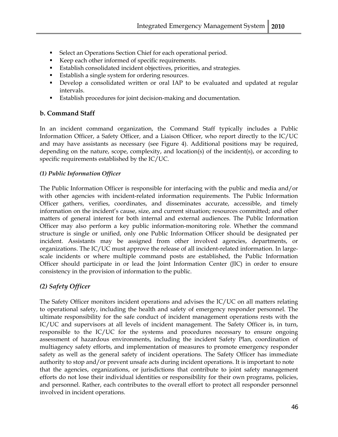- Select an Operations Section Chief for each operational period.
- Keep each other informed of specific requirements.
- Establish consolidated incident objectives, priorities, and strategies.
- Establish a single system for ordering resources.
- Develop a consolidated written or oral IAP to be evaluated and updated at regular intervals.
- Establish procedures for joint decision-making and documentation.

## **b. Command Staff**

In an incident command organization, the Command Staff typically includes a Public Information Officer, a Safety Officer, and a Liaison Officer, who report directly to the IC/UC and may have assistants as necessary (see Figure 4). Additional positions may be required, depending on the nature, scope, complexity, and location(s) of the incident(s), or according to specific requirements established by the IC/UC.

## *(1) Public Information Officer*

The Public Information Officer is responsible for interfacing with the public and media and/or with other agencies with incident-related information requirements. The Public Information Officer gathers, verifies, coordinates, and disseminates accurate, accessible, and timely information on the incident's cause, size, and current situation; resources committed; and other matters of general interest for both internal and external audiences. The Public Information Officer may also perform a key public information-monitoring role. Whether the command structure is single or unified, only one Public Information Officer should be designated per incident. Assistants may be assigned from other involved agencies, departments, or organizations. The IC/UC must approve the release of all incident-related information. In largescale incidents or where multiple command posts are established, the Public Information Officer should participate in or lead the Joint Information Center (JIC) in order to ensure consistency in the provision of information to the public.

# *(2) Safety Officer*

The Safety Officer monitors incident operations and advises the IC/UC on all matters relating to operational safety, including the health and safety of emergency responder personnel. The ultimate responsibility for the safe conduct of incident management operations rests with the IC/UC and supervisors at all levels of incident management. The Safety Officer is, in turn, responsible to the IC/UC for the systems and procedures necessary to ensure ongoing assessment of hazardous environments, including the incident Safety Plan, coordination of multiagency safety efforts, and implementation of measures to promote emergency responder safety as well as the general safety of incident operations. The Safety Officer has immediate authority to stop and/or prevent unsafe acts during incident operations. It is important to note that the agencies, organizations, or jurisdictions that contribute to joint safety management efforts do not lose their individual identities or responsibility for their own programs, policies, and personnel. Rather, each contributes to the overall effort to protect all responder personnel involved in incident operations.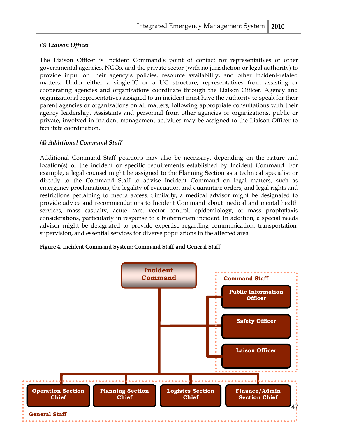# *(3) Liaison Officer*

The Liaison Officer is Incident Command's point of contact for representatives of other governmental agencies, NGOs, and the private sector (with no jurisdiction or legal authority) to provide input on their agency's policies, resource availability, and other incident-related matters. Under either a single-IC or a UC structure, representatives from assisting or cooperating agencies and organizations coordinate through the Liaison Officer. Agency and organizational representatives assigned to an incident must have the authority to speak for their parent agencies or organizations on all matters, following appropriate consultations with their agency leadership. Assistants and personnel from other agencies or organizations, public or private, involved in incident management activities may be assigned to the Liaison Officer to facilitate coordination.

## *(4) Additional Command Staff*

Additional Command Staff positions may also be necessary, depending on the nature and location(s) of the incident or specific requirements established by Incident Command. For example, a legal counsel might be assigned to the Planning Section as a technical specialist or directly to the Command Staff to advise Incident Command on legal matters, such as emergency proclamations, the legality of evacuation and quarantine orders, and legal rights and restrictions pertaining to media access. Similarly, a medical advisor might be designated to provide advice and recommendations to Incident Command about medical and mental health services, mass casualty, acute care, vector control, epidemiology, or mass prophylaxis considerations, particularly in response to a bioterrorism incident. In addition, a special needs advisor might be designated to provide expertise regarding communication, transportation, supervision, and essential services for diverse populations in the affected area.

#### **Figure 4. Incident Command System: Command Staff and General Staff**

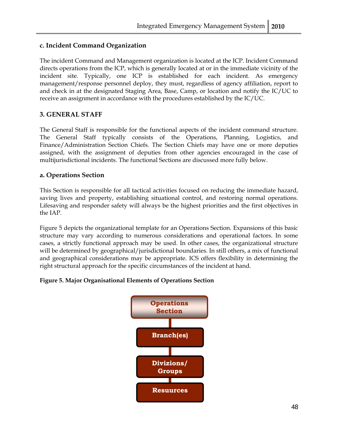# **c. Incident Command Organization**

The incident Command and Management organization is located at the ICP. Incident Command directs operations from the ICP, which is generally located at or in the immediate vicinity of the incident site. Typically, one ICP is established for each incident. As emergency management/response personnel deploy, they must, regardless of agency affiliation, report to and check in at the designated Staging Area, Base, Camp, or location and notify the IC/UC to receive an assignment in accordance with the procedures established by the IC/UC.

# **3. GENERAL STAFF**

The General Staff is responsible for the functional aspects of the incident command structure. The General Staff typically consists of the Operations, Planning, Logistics, and Finance/Administration Section Chiefs. The Section Chiefs may have one or more deputies assigned, with the assignment of deputies from other agencies encouraged in the case of multijurisdictional incidents. The functional Sections are discussed more fully below.

# **a. Operations Section**

This Section is responsible for all tactical activities focused on reducing the immediate hazard, saving lives and property, establishing situational control, and restoring normal operations. Lifesaving and responder safety will always be the highest priorities and the first objectives in the IAP.

Figure 5 depicts the organizational template for an Operations Section. Expansions of this basic structure may vary according to numerous considerations and operational factors. In some cases, a strictly functional approach may be used. In other cases, the organizational structure will be determined by geographical/jurisdictional boundaries. In still others, a mix of functional and geographical considerations may be appropriate. ICS offers flexibility in determining the right structural approach for the specific circumstances of the incident at hand.

## **Figure 5. Major Organisational Elements of Operations Section**

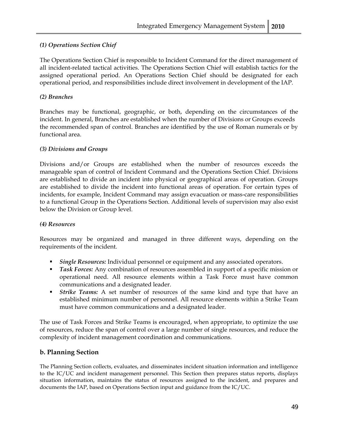# *(1) Operations Section Chief*

The Operations Section Chief is responsible to Incident Command for the direct management of all incident-related tactical activities. The Operations Section Chief will establish tactics for the assigned operational period. An Operations Section Chief should be designated for each operational period, and responsibilities include direct involvement in development of the IAP.

## *(2) Branches*

Branches may be functional, geographic, or both, depending on the circumstances of the incident. In general, Branches are established when the number of Divisions or Groups exceeds the recommended span of control. Branches are identified by the use of Roman numerals or by functional area.

## *(3) Divisions and Groups*

Divisions and/or Groups are established when the number of resources exceeds the manageable span of control of Incident Command and the Operations Section Chief. Divisions are established to divide an incident into physical or geographical areas of operation. Groups are established to divide the incident into functional areas of operation. For certain types of incidents, for example, Incident Command may assign evacuation or mass-care responsibilities to a functional Group in the Operations Section. Additional levels of supervision may also exist below the Division or Group level.

## *(4) Resources*

Resources may be organized and managed in three different ways, depending on the requirements of the incident.

- *Single Resources:* Individual personnel or equipment and any associated operators.
- *Task Forces:* Any combination of resources assembled in support of a specific mission or operational need. All resource elements within a Task Force must have common communications and a designated leader.
- *Strike Teams:* A set number of resources of the same kind and type that have an established minimum number of personnel. All resource elements within a Strike Team must have common communications and a designated leader.

The use of Task Forces and Strike Teams is encouraged, when appropriate, to optimize the use of resources, reduce the span of control over a large number of single resources, and reduce the complexity of incident management coordination and communications.

# **b. Planning Section**

The Planning Section collects, evaluates, and disseminates incident situation information and intelligence to the IC/UC and incident management personnel. This Section then prepares status reports, displays situation information, maintains the status of resources assigned to the incident, and prepares and documents the IAP, based on Operations Section input and guidance from the IC/UC.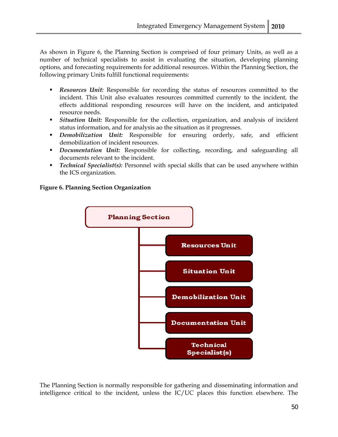As shown in Figure 6, the Planning Section is comprised of four primary Units, as well as a number of technical specialists to assist in evaluating the situation, developing planning options, and forecasting requirements for additional resources. Within the Planning Section, the following primary Units fulfill functional requirements:

- *Resources Unit:* Responsible for recording the status of resources committed to the incident. This Unit also evaluates resources committed currently to the incident, the effects additional responding resources will have on the incident, and anticipated resource needs.
- *Situation Unit:* Responsible for the collection, organization, and analysis of incident status information, and for analysis ao the situation as it progresses.
- *Demobilization Unit:* Responsible for ensuring orderly, safe, and efficient demobilization of incident resources.
- **Documentation Unit:** Responsible for collecting, recording, and safeguarding all documents relevant to the incident.
- *Technical Specialist(s):* Personnel with special skills that can be used anywhere within the ICS organization.

#### **Figure 6. Planning Section Organization**



The Planning Section is normally responsible for gathering and disseminating information and intelligence critical to the incident, unless the IC/UC places this function elsewhere. The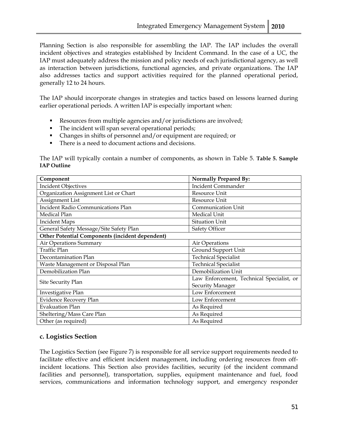Planning Section is also responsible for assembling the IAP. The IAP includes the overall incident objectives and strategies established by Incident Command. In the case of a UC, the IAP must adequately address the mission and policy needs of each jurisdictional agency, as well as interaction between jurisdictions, functional agencies, and private organizations. The IAP also addresses tactics and support activities required for the planned operational period, generally 12 to 24 hours.

The IAP should incorporate changes in strategies and tactics based on lessons learned during earlier operational periods. A written IAP is especially important when:

- Resources from multiple agencies and/or jurisdictions are involved;
- The incident will span several operational periods;
- Changes in shifts of personnel and/or equipment are required; or
- There is a need to document actions and decisions.

The IAP will typically contain a number of components, as shown in Table 5. **Table 5. Sample IAP Outline**

| Component                                              | <b>Normally Prepared By:</b>              |  |  |
|--------------------------------------------------------|-------------------------------------------|--|--|
| <b>Incident Objectives</b>                             | <b>Incident Commander</b>                 |  |  |
| Organization Assignment List or Chart                  | Resource Unit                             |  |  |
| Assignment List                                        | Resource Unit                             |  |  |
| <b>Incident Radio Communications Plan</b>              | <b>Communication Unit</b>                 |  |  |
| Medical Plan                                           | Medical Unit                              |  |  |
| <b>Incident Maps</b>                                   | <b>Situation Unit</b>                     |  |  |
| General Safety Message/Site Safety Plan                | Safety Officer                            |  |  |
| <b>Other Potential Components (incident dependent)</b> |                                           |  |  |
| Air Operations Summary                                 | Air Operations                            |  |  |
| <b>Traffic Plan</b>                                    | Ground Support Unit                       |  |  |
| Decontamination Plan                                   | <b>Technical Specialist</b>               |  |  |
| Waste Management or Disposal Plan                      | <b>Technical Specialist</b>               |  |  |
| Demobilization Plan                                    | Demobilization Unit                       |  |  |
|                                                        | Law Enforcement, Technical Specialist, or |  |  |
| Site Security Plan                                     | <b>Security Manager</b>                   |  |  |
| <b>Investigative Plan</b>                              | Low Enforcement                           |  |  |
| <b>Evidence Recovery Plan</b>                          | Low Enforcement                           |  |  |
| <b>Evakuation Plan</b>                                 | As Required                               |  |  |
| Sheltering/Mass Care Plan                              | As Required                               |  |  |
| Other (as required)                                    | As Required                               |  |  |

## **c. Logistics Section**

The Logistics Section (see Figure 7) is responsible for all service support requirements needed to facilitate effective and efficient incident management, including ordering resources from offincident locations. This Section also provides facilities, security (of the incident command facilities and personnel), transportation, supplies, equipment maintenance and fuel, food services, communications and information technology support, and emergency responder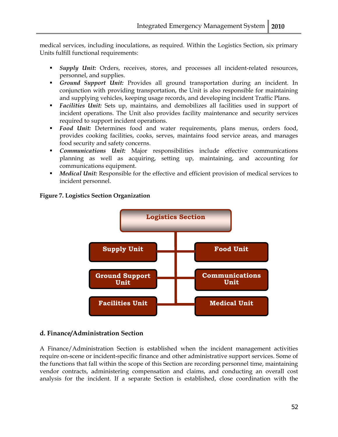medical services, including inoculations, as required. Within the Logistics Section, six primary Units fulfill functional requirements:

- *Supply Unit:* Orders, receives, stores, and processes all incident-related resources, personnel, and supplies.
- *Ground Support Unit:* Provides all ground transportation during an incident. In conjunction with providing transportation, the Unit is also responsible for maintaining and supplying vehicles, keeping usage records, and developing incident Traffic Plans.
- *Facilities Unit:* Sets up, maintains, and demobilizes all facilities used in support of incident operations. The Unit also provides facility maintenance and security services required to support incident operations.
- *Food Unit:* Determines food and water requirements, plans menus, orders food, provides cooking facilities, cooks, serves, maintains food service areas, and manages food security and safety concerns.
- *Communications Unit:* Major responsibilities include effective communications planning as well as acquiring, setting up, maintaining, and accounting for communications equipment.
- *Medical Unit:* Responsible for the effective and efficient provision of medical services to incident personnel.



# **Figure 7. Logistics Section Organization**

## **d. Finance/Administration Section**

A Finance/Administration Section is established when the incident management activities require on-scene or incident-specific finance and other administrative support services. Some of the functions that fall within the scope of this Section are recording personnel time, maintaining vendor contracts, administering compensation and claims, and conducting an overall cost analysis for the incident. If a separate Section is established, close coordination with the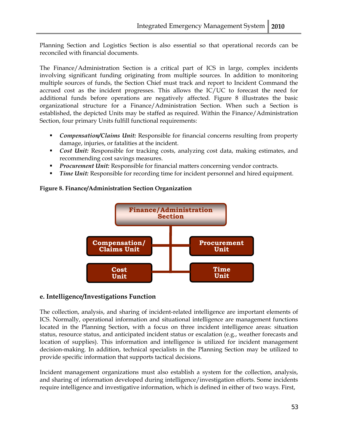Planning Section and Logistics Section is also essential so that operational records can be reconciled with financial documents.

The Finance/Administration Section is a critical part of ICS in large, complex incidents involving significant funding originating from multiple sources. In addition to monitoring multiple sources of funds, the Section Chief must track and report to Incident Command the accrued cost as the incident progresses. This allows the IC/UC to forecast the need for additional funds before operations are negatively affected. Figure 8 illustrates the basic organizational structure for a Finance/Administration Section. When such a Section is established, the depicted Units may be staffed as required. Within the Finance/Administration Section, four primary Units fulfill functional requirements:

- *Compensation/Claims Unit:* Responsible for financial concerns resulting from property damage, injuries, or fatalities at the incident.
- *Cost Unit:* Responsible for tracking costs, analyzing cost data, making estimates, and recommending cost savings measures.
- **Procurement Unit:** Responsible for financial matters concerning vendor contracts.
- *Time Unit:* Responsible for recording time for incident personnel and hired equipment.



# **Figure 8. Finance/Administration Section Organization**

## **e. Intelligence/Investigations Function**

The collection, analysis, and sharing of incident-related intelligence are important elements of ICS. Normally, operational information and situational intelligence are management functions located in the Planning Section, with a focus on three incident intelligence areas: situation status, resource status, and anticipated incident status or escalation (e.g., weather forecasts and location of supplies). This information and intelligence is utilized for incident management decision-making. In addition, technical specialists in the Planning Section may be utilized to provide specific information that supports tactical decisions.

Incident management organizations must also establish a system for the collection, analysis, and sharing of information developed during intelligence/investigation efforts. Some incidents require intelligence and investigative information, which is defined in either of two ways. First,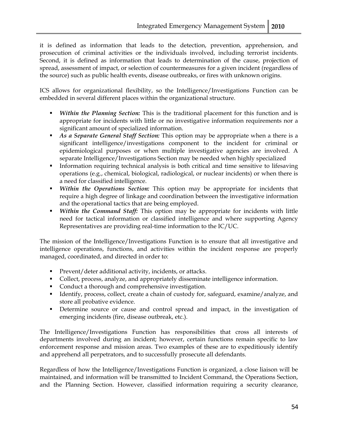it is defined as information that leads to the detection, prevention, apprehension, and prosecution of criminal activities or the individuals involved, including terrorist incidents. Second, it is defined as information that leads to determination of the cause, projection of spread, assessment of impact, or selection of countermeasures for a given incident (regardless of the source) such as public health events, disease outbreaks, or fires with unknown origins.

ICS allows for organizational flexibility, so the Intelligence/Investigations Function can be embedded in several different places within the organizational structure.

- *Within the Planning Section:* This is the traditional placement for this function and is appropriate for incidents with little or no investigative information requirements nor a significant amount of specialized information.
- *As a Separate General Staff Section:* This option may be appropriate when a there is a significant intelligence/investigations component to the incident for criminal or epidemiological purposes or when multiple investigative agencies are involved. A separate Intelligence/Investigations Section may be needed when highly specialized
- Information requiring technical analysis is both critical and time sensitive to lifesaving operations (e.g., chemical, biological, radiological, or nuclear incidents) or when there is a need for classified intelligence.
- *Within the Operations Section:* This option may be appropriate for incidents that require a high degree of linkage and coordination between the investigative information and the operational tactics that are being employed.
- *Within the Command Staff:* This option may be appropriate for incidents with little need for tactical information or classified intelligence and where supporting Agency Representatives are providing real-time information to the IC/UC.

The mission of the Intelligence/Investigations Function is to ensure that all investigative and intelligence operations, functions, and activities within the incident response are properly managed, coordinated, and directed in order to:

- Prevent/deter additional activity, incidents, or attacks.
- Collect, process, analyze, and appropriately disseminate intelligence information.
- Conduct a thorough and comprehensive investigation.
- Identify, process, collect, create a chain of custody for, safeguard, examine/analyze, and store all probative evidence.
- Determine source or cause and control spread and impact, in the investigation of emerging incidents (fire, disease outbreak, etc.).

The Intelligence/Investigations Function has responsibilities that cross all interests of departments involved during an incident; however, certain functions remain specific to law enforcement response and mission areas. Two examples of these are to expeditiously identify and apprehend all perpetrators, and to successfully prosecute all defendants.

Regardless of how the Intelligence/Investigations Function is organized, a close liaison will be maintained, and information will be transmitted to Incident Command, the Operations Section, and the Planning Section. However, classified information requiring a security clearance,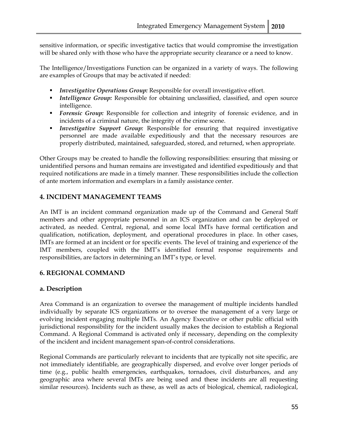sensitive information, or specific investigative tactics that would compromise the investigation will be shared only with those who have the appropriate security clearance or a need to know.

The Intelligence/Investigations Function can be organized in a variety of ways. The following are examples of Groups that may be activated if needed:

- *Investigative Operations Group:* Responsible for overall investigative effort.
- *Intelligence Group:* Responsible for obtaining unclassified, classified, and open source intelligence.
- **Forensic Group:** Responsible for collection and integrity of forensic evidence, and in incidents of a criminal nature, the integrity of the crime scene.
- *Investigative Support Group:* Responsible for ensuring that required investigative personnel are made available expeditiously and that the necessary resources are properly distributed, maintained, safeguarded, stored, and returned, when appropriate.

Other Groups may be created to handle the following responsibilities: ensuring that missing or unidentified persons and human remains are investigated and identified expeditiously and that required notifications are made in a timely manner. These responsibilities include the collection of ante mortem information and exemplars in a family assistance center.

# **4. INCIDENT MANAGEMENT TEAMS**

An IMT is an incident command organization made up of the Command and General Staff members and other appropriate personnel in an ICS organization and can be deployed or activated, as needed. Central, regional, and some local IMTs have formal certification and qualification, notification, deployment, and operational procedures in place. In other cases, IMTs are formed at an incident or for specific events. The level of training and experience of the IMT members, coupled with the IMT's identified formal response requirements and responsibilities, are factors in determining an IMT's type, or level.

# **6. REGIONAL COMMAND**

# **a. Description**

Area Command is an organization to oversee the management of multiple incidents handled individually by separate ICS organizations or to oversee the management of a very large or evolving incident engaging multiple IMTs. An Agency Executive or other public official with jurisdictional responsibility for the incident usually makes the decision to establish a Regional Command. A Regional Command is activated only if necessary, depending on the complexity of the incident and incident management span-of-control considerations.

Regional Commands are particularly relevant to incidents that are typically not site specific, are not immediately identifiable, are geographically dispersed, and evolve over longer periods of time (e.g., public health emergencies, earthquakes, tornadoes, civil disturbances, and any geographic area where several IMTs are being used and these incidents are all requesting similar resources). Incidents such as these, as well as acts of biological, chemical, radiological,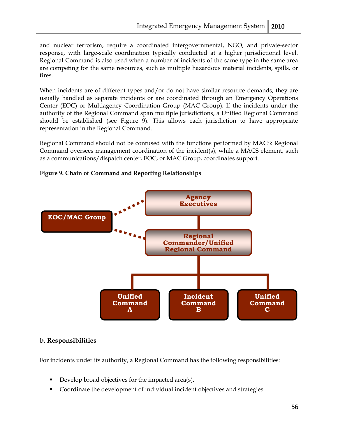and nuclear terrorism, require a coordinated intergovernmental, NGO, and private-sector response, with large-scale coordination typically conducted at a higher jurisdictional level. Regional Command is also used when a number of incidents of the same type in the same area are competing for the same resources, such as multiple hazardous material incidents, spills, or fires.

When incidents are of different types and/or do not have similar resource demands, they are usually handled as separate incidents or are coordinated through an Emergency Operations Center (EOC) or Multiagency Coordination Group (MAC Group). If the incidents under the authority of the Regional Command span multiple jurisdictions, a Unified Regional Command should be established (see Figure 9). This allows each jurisdiction to have appropriate representation in the Regional Command.

Regional Command should not be confused with the functions performed by MACS: Regional Command oversees management coordination of the incident(s), while a MACS element, such as a communications/dispatch center, EOC, or MAC Group, coordinates support.

**Figure 9. Chain of Command and Reporting Relationships** 



# **b. Responsibilities**

For incidents under its authority, a Regional Command has the following responsibilities:

- Develop broad objectives for the impacted area(s).
- Coordinate the development of individual incident objectives and strategies.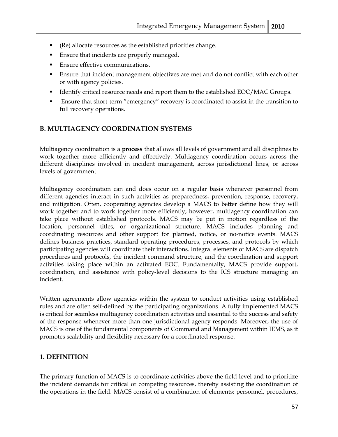- (Re) allocate resources as the established priorities change.
- **Ensure that incidents are properly managed.**
- **Ensure effective communications.**
- Ensure that incident management objectives are met and do not conflict with each other or with agency policies.
- Identify critical resource needs and report them to the established EOC/MAC Groups.
- Ensure that short-term "emergency" recovery is coordinated to assist in the transition to full recovery operations.

## **B. MULTIAGENCY COORDINATION SYSTEMS**

Multiagency coordination is a **process** that allows all levels of government and all disciplines to work together more efficiently and effectively. Multiagency coordination occurs across the different disciplines involved in incident management, across jurisdictional lines, or across levels of government.

Multiagency coordination can and does occur on a regular basis whenever personnel from different agencies interact in such activities as preparedness, prevention, response, recovery, and mitigation. Often, cooperating agencies develop a MACS to better define how they will work together and to work together more efficiently; however, multiagency coordination can take place without established protocols. MACS may be put in motion regardless of the location, personnel titles, or organizational structure. MACS includes planning and coordinating resources and other support for planned, notice, or no-notice events. MACS defines business practices, standard operating procedures, processes, and protocols by which participating agencies will coordinate their interactions. Integral elements of MACS are dispatch procedures and protocols, the incident command structure, and the coordination and support activities taking place within an activated EOC. Fundamentally, MACS provide support, coordination, and assistance with policy-level decisions to the ICS structure managing an incident.

Written agreements allow agencies within the system to conduct activities using established rules and are often self-defined by the participating organizations. A fully implemented MACS is critical for seamless multiagency coordination activities and essential to the success and safety of the response whenever more than one jurisdictional agency responds. Moreover, the use of MACS is one of the fundamental components of Command and Management within IEMS, as it promotes scalability and flexibility necessary for a coordinated response.

## **1. DEFINITION**

The primary function of MACS is to coordinate activities above the field level and to prioritize the incident demands for critical or competing resources, thereby assisting the coordination of the operations in the field. MACS consist of a combination of elements: personnel, procedures,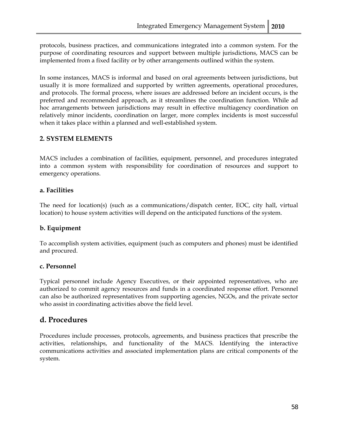protocols, business practices, and communications integrated into a common system. For the purpose of coordinating resources and support between multiple jurisdictions, MACS can be implemented from a fixed facility or by other arrangements outlined within the system.

In some instances, MACS is informal and based on oral agreements between jurisdictions, but usually it is more formalized and supported by written agreements, operational procedures, and protocols. The formal process, where issues are addressed before an incident occurs, is the preferred and recommended approach, as it streamlines the coordination function. While ad hoc arrangements between jurisdictions may result in effective multiagency coordination on relatively minor incidents, coordination on larger, more complex incidents is most successful when it takes place within a planned and well-established system.

## **2. SYSTEM ELEMENTS**

MACS includes a combination of facilities, equipment, personnel, and procedures integrated into a common system with responsibility for coordination of resources and support to emergency operations.

## **a. Facilities**

The need for location(s) (such as a communications/dispatch center, EOC, city hall, virtual location) to house system activities will depend on the anticipated functions of the system.

## **b. Equipment**

To accomplish system activities, equipment (such as computers and phones) must be identified and procured.

## **c. Personnel**

Typical personnel include Agency Executives, or their appointed representatives, who are authorized to commit agency resources and funds in a coordinated response effort. Personnel can also be authorized representatives from supporting agencies, NGOs, and the private sector who assist in coordinating activities above the field level.

# **d. Procedures**

Procedures include processes, protocols, agreements, and business practices that prescribe the activities, relationships, and functionality of the MACS. Identifying the interactive communications activities and associated implementation plans are critical components of the system.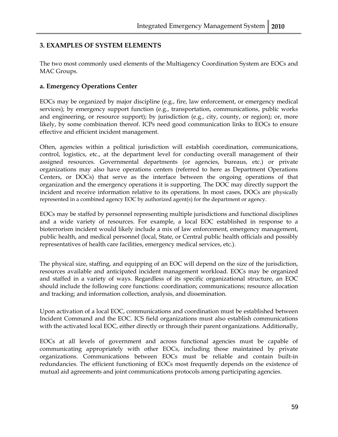# **3. EXAMPLES OF SYSTEM ELEMENTS**

The two most commonly used elements of the Multiagency Coordination System are EOCs and MAC Groups.

## **a. Emergency Operations Center**

EOCs may be organized by major discipline (e.g., fire, law enforcement, or emergency medical services); by emergency support function (e.g., transportation, communications, public works and engineering, or resource support); by jurisdiction (e.g., city, county, or region); or, more likely, by some combination thereof. ICPs need good communication links to EOCs to ensure effective and efficient incident management.

Often, agencies within a political jurisdiction will establish coordination, communications, control, logistics, etc., at the department level for conducting overall management of their assigned resources. Governmental departments (or agencies, bureaus, etc.) or private organizations may also have operations centers (referred to here as Department Operations Centers, or DOCs) that serve as the interface between the ongoing operations of that organization and the emergency operations it is supporting. The DOC may directly support the incident and receive information relative to its operations. In most cases, DOCs are physically represented in a combined agency EOC by authorized agent(s) for the department or agency.

EOCs may be staffed by personnel representing multiple jurisdictions and functional disciplines and a wide variety of resources. For example, a local EOC established in response to a bioterrorism incident would likely include a mix of law enforcement, emergency management, public health, and medical personnel (local, State, or Central public health officials and possibly representatives of health care facilities, emergency medical services, etc.).

The physical size, staffing, and equipping of an EOC will depend on the size of the jurisdiction, resources available and anticipated incident management workload. EOCs may be organized and staffed in a variety of ways. Regardless of its specific organizational structure, an EOC should include the following core functions: coordination; communications; resource allocation and tracking; and information collection, analysis, and dissemination.

Upon activation of a local EOC, communications and coordination must be established between Incident Command and the EOC. ICS field organizations must also establish communications with the activated local EOC, either directly or through their parent organizations. Additionally,

EOCs at all levels of government and across functional agencies must be capable of communicating appropriately with other EOCs, including those maintained by private organizations. Communications between EOCs must be reliable and contain built-in redundancies. The efficient functioning of EOCs most frequently depends on the existence of mutual aid agreements and joint communications protocols among participating agencies.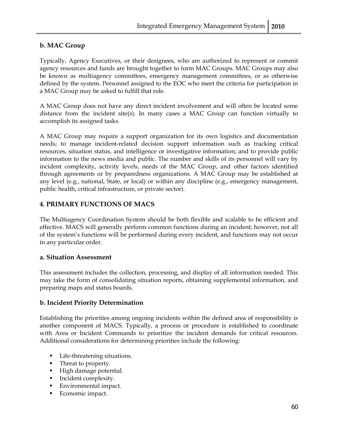# **b. MAC Group**

Typically, Agency Executives, or their designees, who are authorized to represent or commit agency resources and funds are brought together to form MAC Groups. MAC Groups may also be known as multiagency committees, emergency management committees, or as otherwise defined by the system. Personnel assigned to the EOC who meet the criteria for participation in a MAC Group may be asked to fulfill that role.

A MAC Group does not have any direct incident involvement and will often be located some distance from the incident site(s). In many cases a MAC Group can function virtually to accomplish its assigned tasks.

A MAC Group may require a support organization for its own logistics and documentation needs; to manage incident-related decision support information such as tracking critical resources, situation status, and intelligence or investigative information; and to provide public information to the news media and public. The number and skills of its personnel will vary by incident complexity, activity levels, needs of the MAC Group, and other factors identified through agreements or by preparedness organizations. A MAC Group may be established at any level (e.g., national, State, or local) or within any discipline (e.g., emergency management, public health, critical infrastructure, or private sector).

# **4. PRIMARY FUNCTIONS OF MACS**

The Multiagency Coordination System should be both flexible and scalable to be efficient and effective. MACS will generally perform common functions during an incident; however, not all of the system's functions will be performed during every incident, and functions may not occur in any particular order.

## **a. Situation Assessment**

This assessment includes the collection, processing, and display of all information needed. This may take the form of consolidating situation reports, obtaining supplemental information, and preparing maps and status boards.

# **b. Incident Priority Determination**

Establishing the priorities among ongoing incidents within the defined area of responsibility is another component of MACS. Typically, a process or procedure is established to coordinate with Area or Incident Commands to prioritize the incident demands for critical resources. Additional considerations for determining priorities include the following:

- **Life-threatening situations.**
- Threat to property.
- **High damage potential.**
- **Incident complexity.**
- **Environmental impact.**
- Economic impact.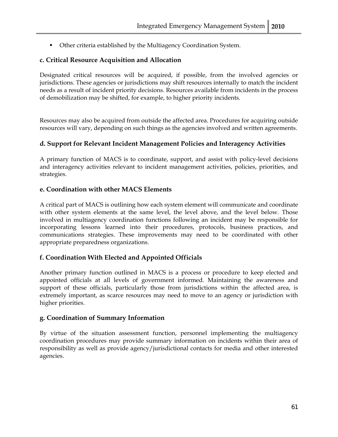Other criteria established by the Multiagency Coordination System.

# **c. Critical Resource Acquisition and Allocation**

Designated critical resources will be acquired, if possible, from the involved agencies or jurisdictions. These agencies or jurisdictions may shift resources internally to match the incident needs as a result of incident priority decisions. Resources available from incidents in the process of demobilization may be shifted, for example, to higher priority incidents.

Resources may also be acquired from outside the affected area. Procedures for acquiring outside resources will vary, depending on such things as the agencies involved and written agreements.

# **d. Support for Relevant Incident Management Policies and Interagency Activities**

A primary function of MACS is to coordinate, support, and assist with policy-level decisions and interagency activities relevant to incident management activities, policies, priorities, and strategies.

# **e. Coordination with other MACS Elements**

A critical part of MACS is outlining how each system element will communicate and coordinate with other system elements at the same level, the level above, and the level below. Those involved in multiagency coordination functions following an incident may be responsible for incorporating lessons learned into their procedures, protocols, business practices, and communications strategies. These improvements may need to be coordinated with other appropriate preparedness organizations.

# **f. Coordination With Elected and Appointed Officials**

Another primary function outlined in MACS is a process or procedure to keep elected and appointed officials at all levels of government informed. Maintaining the awareness and support of these officials, particularly those from jurisdictions within the affected area, is extremely important, as scarce resources may need to move to an agency or jurisdiction with higher priorities.

# **g. Coordination of Summary Information**

By virtue of the situation assessment function, personnel implementing the multiagency coordination procedures may provide summary information on incidents within their area of responsibility as well as provide agency/jurisdictional contacts for media and other interested agencies.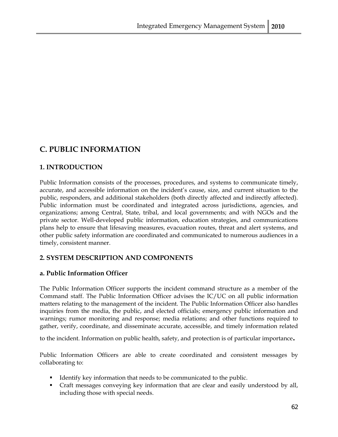# **C. PUBLIC INFORMATION**

# **1. INTRODUCTION**

Public Information consists of the processes, procedures, and systems to communicate timely, accurate, and accessible information on the incident's cause, size, and current situation to the public, responders, and additional stakeholders (both directly affected and indirectly affected). Public information must be coordinated and integrated across jurisdictions, agencies, and organizations; among Central, State, tribal, and local governments; and with NGOs and the private sector. Well-developed public information, education strategies, and communications plans help to ensure that lifesaving measures, evacuation routes, threat and alert systems, and other public safety information are coordinated and communicated to numerous audiences in a timely, consistent manner.

# **2. SYSTEM DESCRIPTION AND COMPONENTS**

# **a. Public Information Officer**

The Public Information Officer supports the incident command structure as a member of the Command staff. The Public Information Officer advises the IC/UC on all public information matters relating to the management of the incident. The Public Information Officer also handles inquiries from the media, the public, and elected officials; emergency public information and warnings; rumor monitoring and response; media relations; and other functions required to gather, verify, coordinate, and disseminate accurate, accessible, and timely information related

to the incident. Information on public health, safety, and protection is of particular importance.

Public Information Officers are able to create coordinated and consistent messages by collaborating to:

- Identify key information that needs to be communicated to the public.
- Craft messages conveying key information that are clear and easily understood by all, including those with special needs.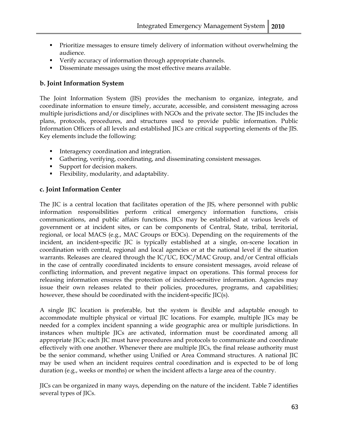- Prioritize messages to ensure timely delivery of information without overwhelming the audience.
- Verify accuracy of information through appropriate channels.
- Disseminate messages using the most effective means available.

# **b. Joint Information System**

The Joint Information System (JIS) provides the mechanism to organize, integrate, and coordinate information to ensure timely, accurate, accessible, and consistent messaging across multiple jurisdictions and/or disciplines with NGOs and the private sector. The JIS includes the plans, protocols, procedures, and structures used to provide public information. Public Information Officers of all levels and established JICs are critical supporting elements of the JIS. Key elements include the following:

- **Interagency coordination and integration.**
- Gathering, verifying, coordinating, and disseminating consistent messages.
- **Support for decision makers.**
- Flexibility, modularity, and adaptability.

## **c. Joint Information Center**

The JIC is a central location that facilitates operation of the JIS, where personnel with public information responsibilities perform critical emergency information functions, crisis communications, and public affairs functions. JICs may be established at various levels of government or at incident sites, or can be components of Central, State, tribal, territorial, regional, or local MACS (e.g., MAC Groups or EOCs). Depending on the requirements of the incident, an incident-specific JIC is typically established at a single, on-scene location in coordination with central, regional and local agencies or at the national level if the situation warrants. Releases are cleared through the IC/UC, EOC/MAC Group, and/or Central officials in the case of centrally coordinated incidents to ensure consistent messages, avoid release of conflicting information, and prevent negative impact on operations. This formal process for releasing information ensures the protection of incident-sensitive information. Agencies may issue their own releases related to their policies, procedures, programs, and capabilities; however, these should be coordinated with the incident-specific JIC(s).

A single JIC location is preferable, but the system is flexible and adaptable enough to accommodate multiple physical or virtual JIC locations. For example, multiple JICs may be needed for a complex incident spanning a wide geographic area or multiple jurisdictions. In instances when multiple JICs are activated, information must be coordinated among all appropriate JICs; each JIC must have procedures and protocols to communicate and coordinate effectively with one another. Whenever there are multiple JICs, the final release authority must be the senior command, whether using Unified or Area Command structures. A national JIC may be used when an incident requires central coordination and is expected to be of long duration (e.g., weeks or months) or when the incident affects a large area of the country.

JICs can be organized in many ways, depending on the nature of the incident. Table 7 identifies several types of JICs.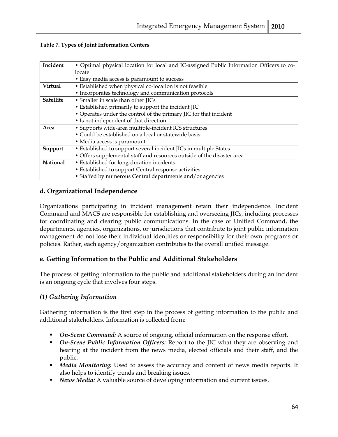| Incident         | • Optimal physical location for local and IC-assigned Public Information Officers to co- |
|------------------|------------------------------------------------------------------------------------------|
|                  | locate                                                                                   |
|                  | • Easy media access is paramount to success                                              |
| Virtual          | • Established when physical co-location is not feasible                                  |
|                  | • Incorporates technology and communication protocols                                    |
| <b>Satellite</b> | • Smaller in scale than other JICs                                                       |
|                  | • Established primarily to support the incident JIC                                      |
|                  | • Operates under the control of the primary JIC for that incident                        |
|                  | • Is not independent of that direction                                                   |
| Area             | • Supports wide-area multiple-incident ICS structures                                    |
|                  | • Could be established on a local or statewide basis                                     |
|                  | • Media access is paramount                                                              |
| Support          | • Established to support several incident JICs in multiple States                        |
|                  | • Offers supplemental staff and resources outside of the disaster area                   |
| <b>National</b>  | • Established for long-duration incidents                                                |
|                  | • Established to support Central response activities                                     |
|                  | • Staffed by numerous Central departments and/or agencies                                |

# **Table 7. Types of Joint Information Centers**

# **d. Organizational Independence**

Organizations participating in incident management retain their independence. Incident Command and MACS are responsible for establishing and overseeing JICs, including processes for coordinating and clearing public communications. In the case of Unified Command, the departments, agencies, organizations, or jurisdictions that contribute to joint public information management do not lose their individual identities or responsibility for their own programs or policies. Rather, each agency/organization contributes to the overall unified message.

# **e. Getting Information to the Public and Additional Stakeholders**

The process of getting information to the public and additional stakeholders during an incident is an ongoing cycle that involves four steps.

# *(1) Gathering Information*

Gathering information is the first step in the process of getting information to the public and additional stakeholders. Information is collected from:

- **D** *On-Scene Command:* A source of ongoing, official information on the response effort.
- *On-Scene Public Information Officers:* Report to the JIC what they are observing and hearing at the incident from the news media, elected officials and their staff, and the public.
- *Media Monitoring:* Used to assess the accuracy and content of news media reports. It also helps to identify trends and breaking issues.
- *News Media:* A valuable source of developing information and current issues.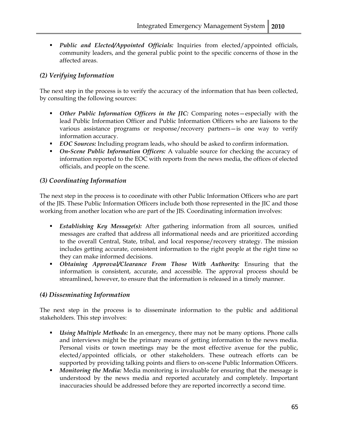*Public and Elected/Appointed Officials:* Inquiries from elected/appointed officials, community leaders, and the general public point to the specific concerns of those in the affected areas.

# *(2) Verifying Information*

The next step in the process is to verify the accuracy of the information that has been collected, by consulting the following sources:

- *Other Public Information Officers in the JIC:* Comparing notes—especially with the lead Public Information Officer and Public Information Officers who are liaisons to the various assistance programs or response/recovery partners—is one way to verify information accuracy.
- *EOC Sources:* Including program leads, who should be asked to confirm information.
- *On-Scene Public Information Officers:* A valuable source for checking the accuracy of information reported to the EOC with reports from the news media, the offices of elected officials, and people on the scene.

# *(3) Coordinating Information*

The next step in the process is to coordinate with other Public Information Officers who are part of the JIS. These Public Information Officers include both those represented in the JIC and those working from another location who are part of the JIS. Coordinating information involves:

- *Establishing Key Message(s):* After gathering information from all sources, unified messages are crafted that address all informational needs and are prioritized according to the overall Central, State, tribal, and local response/recovery strategy. The mission includes getting accurate, consistent information to the right people at the right time so they can make informed decisions.
- *Obtaining Approval/Clearance From Those With Authority:* Ensuring that the information is consistent, accurate, and accessible. The approval process should be streamlined, however, to ensure that the information is released in a timely manner.

# *(4) Disseminating Information*

The next step in the process is to disseminate information to the public and additional stakeholders. This step involves:

- *Using Multiple Methods:* In an emergency, there may not be many options. Phone calls and interviews might be the primary means of getting information to the news media. Personal visits or town meetings may be the most effective avenue for the public, elected/appointed officials, or other stakeholders. These outreach efforts can be supported by providing talking points and fliers to on-scene Public Information Officers.
- **Monitoring the Media:** Media monitoring is invaluable for ensuring that the message is understood by the news media and reported accurately and completely. Important inaccuracies should be addressed before they are reported incorrectly a second time.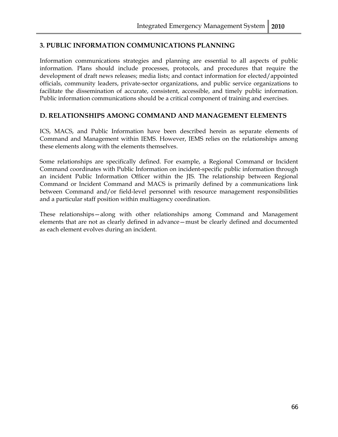# **3. PUBLIC INFORMATION COMMUNICATIONS PLANNING**

Information communications strategies and planning are essential to all aspects of public information. Plans should include processes, protocols, and procedures that require the development of draft news releases; media lists; and contact information for elected/appointed officials, community leaders, private-sector organizations, and public service organizations to facilitate the dissemination of accurate, consistent, accessible, and timely public information. Public information communications should be a critical component of training and exercises.

# **D. RELATIONSHIPS AMONG COMMAND AND MANAGEMENT ELEMENTS**

ICS, MACS, and Public Information have been described herein as separate elements of Command and Management within IEMS. However, IEMS relies on the relationships among these elements along with the elements themselves.

Some relationships are specifically defined. For example, a Regional Command or Incident Command coordinates with Public Information on incident-specific public information through an incident Public Information Officer within the JIS. The relationship between Regional Command or Incident Command and MACS is primarily defined by a communications link between Command and/or field-level personnel with resource management responsibilities and a particular staff position within multiagency coordination.

These relationships—along with other relationships among Command and Management elements that are not as clearly defined in advance—must be clearly defined and documented as each element evolves during an incident.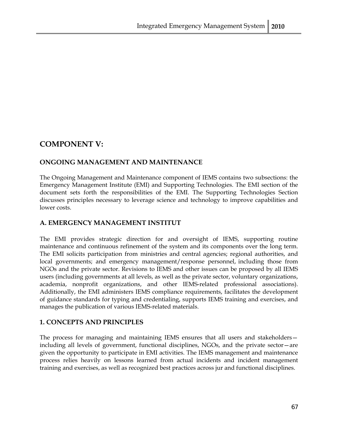# **COMPONENT V:**

# **ONGOING MANAGEMENT AND MAINTENANCE**

The Ongoing Management and Maintenance component of IEMS contains two subsections: the Emergency Management Institute (EMI) and Supporting Technologies. The EMI section of the document sets forth the responsibilities of the EMI. The Supporting Technologies Section discusses principles necessary to leverage science and technology to improve capabilities and lower costs.

# **A. EMERGENCY MANAGEMENT INSTITUT**

The EMI provides strategic direction for and oversight of IEMS, supporting routine maintenance and continuous refinement of the system and its components over the long term. The EMI solicits participation from ministries and central agencies; regional authorities, and local governments; and emergency management/response personnel, including those from NGOs and the private sector. Revisions to IEMS and other issues can be proposed by all IEMS users (including governments at all levels, as well as the private sector, voluntary organizations, academia, nonprofit organizations, and other IEMS-related professional associations). Additionally, the EMI administers IEMS compliance requirements, facilitates the development of guidance standards for typing and credentialing, supports IEMS training and exercises, and manages the publication of various IEMS-related materials.

# **1. CONCEPTS AND PRINCIPLES**

The process for managing and maintaining IEMS ensures that all users and stakeholders including all levels of government, functional disciplines, NGOs, and the private sector—are given the opportunity to participate in EMI activities. The IEMS management and maintenance process relies heavily on lessons learned from actual incidents and incident management training and exercises, as well as recognized best practices across jur and functional disciplines.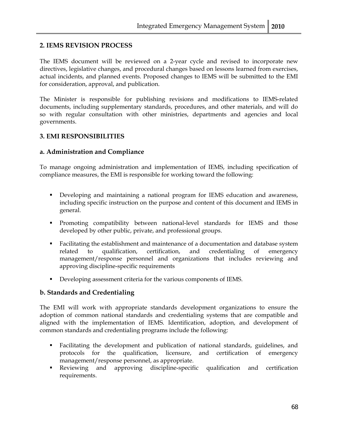# **2. IEMS REVISION PROCESS**

The IEMS document will be reviewed on a 2-year cycle and revised to incorporate new directives, legislative changes, and procedural changes based on lessons learned from exercises, actual incidents, and planned events. Proposed changes to IEMS will be submitted to the EMI for consideration, approval, and publication.

The Minister is responsible for publishing revisions and modifications to IEMS-related documents, including supplementary standards, procedures, and other materials, and will do so with regular consultation with other ministries, departments and agencies and local governments.

# **3. EMI RESPONSIBILITIES**

#### **a. Administration and Compliance**

To manage ongoing administration and implementation of IEMS, including specification of compliance measures, the EMI is responsible for working toward the following:

- Developing and maintaining a national program for IEMS education and awareness, including specific instruction on the purpose and content of this document and IEMS in general.
- Promoting compatibility between national-level standards for IEMS and those developed by other public, private, and professional groups.
- Facilitating the establishment and maintenance of a documentation and database system related to qualification, certification, and credentialing of emergency management/response personnel and organizations that includes reviewing and approving discipline-specific requirements
- Developing assessment criteria for the various components of IEMS.

#### **b. Standards and Credentialing**

The EMI will work with appropriate standards development organizations to ensure the adoption of common national standards and credentialing systems that are compatible and aligned with the implementation of IEMS. Identification, adoption, and development of common standards and credentialing programs include the following:

- Facilitating the development and publication of national standards, guidelines, and protocols for the qualification, licensure, and certification of emergency management/response personnel, as appropriate.
- Reviewing and approving discipline-specific qualification and certification requirements.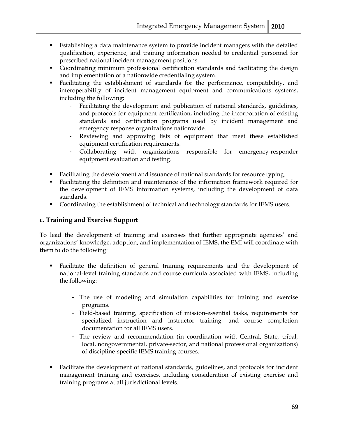- Establishing a data maintenance system to provide incident managers with the detailed qualification, experience, and training information needed to credential personnel for prescribed national incident management positions.
- Coordinating minimum professional certification standards and facilitating the design and implementation of a nationwide credentialing system.
- Facilitating the establishment of standards for the performance, compatibility, and interoperability of incident management equipment and communications systems, including the following:
	- Facilitating the development and publication of national standards, guidelines, and protocols for equipment certification, including the incorporation of existing standards and certification programs used by incident management and emergency response organizations nationwide.
	- Reviewing and approving lists of equipment that meet these established equipment certification requirements.
	- Collaborating with organizations responsible for emergency-responder equipment evaluation and testing.
- **EXECUTE:** Facilitating the development and issuance of national standards for resource typing.
- Facilitating the definition and maintenance of the information framework required for the development of IEMS information systems, including the development of data standards.
- Coordinating the establishment of technical and technology standards for IEMS users.

# **c. Training and Exercise Support**

To lead the development of training and exercises that further appropriate agencies' and organizations' knowledge, adoption, and implementation of IEMS, the EMI will coordinate with them to do the following:

- Facilitate the definition of general training requirements and the development of national-level training standards and course curricula associated with IEMS, including the following:
	- The use of modeling and simulation capabilities for training and exercise programs.
	- Field-based training, specification of mission-essential tasks, requirements for specialized instruction and instructor training, and course completion documentation for all IEMS users.
	- The review and recommendation (in coordination with Central, State, tribal, local, nongovernmental, private-sector, and national professional organizations) of discipline-specific IEMS training courses.
- Facilitate the development of national standards, guidelines, and protocols for incident management training and exercises, including consideration of existing exercise and training programs at all jurisdictional levels.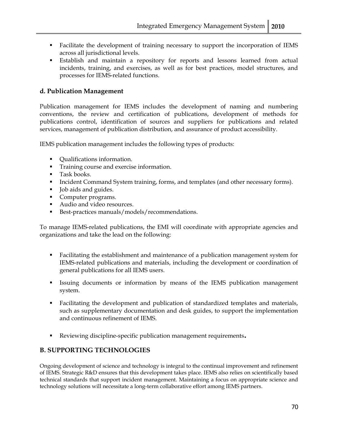- Facilitate the development of training necessary to support the incorporation of IEMS across all jurisdictional levels.
- Establish and maintain a repository for reports and lessons learned from actual incidents, training, and exercises, as well as for best practices, model structures, and processes for IEMS-related functions.

# **d. Publication Management**

Publication management for IEMS includes the development of naming and numbering conventions, the review and certification of publications, development of methods for publications control, identification of sources and suppliers for publications and related services, management of publication distribution, and assurance of product accessibility.

IEMS publication management includes the following types of products:

- Qualifications information.
- **Training course and exercise information.**
- **Task books.**
- **Incident Command System training, forms, and templates (and other necessary forms).**
- **Job aids and guides.**
- Computer programs.
- Audio and video resources.
- Best-practices manuals/models/recommendations.

To manage IEMS-related publications, the EMI will coordinate with appropriate agencies and organizations and take the lead on the following:

- Facilitating the establishment and maintenance of a publication management system for IEMS-related publications and materials, including the development or coordination of general publications for all IEMS users.
- Issuing documents or information by means of the IEMS publication management system.
- Facilitating the development and publication of standardized templates and materials, such as supplementary documentation and desk guides, to support the implementation and continuous refinement of IEMS.
- Reviewing discipline-specific publication management requirements.

# **B. SUPPORTING TECHNOLOGIES**

Ongoing development of science and technology is integral to the continual improvement and refinement of IEMS. Strategic R&D ensures that this development takes place. IEMS also relies on scientifically based technical standards that support incident management. Maintaining a focus on appropriate science and technology solutions will necessitate a long-term collaborative effort among IEMS partners.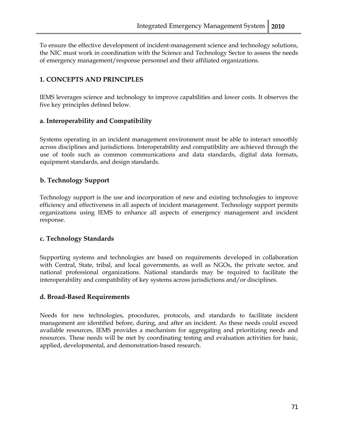To ensure the effective development of incident-management science and technology solutions, the NIC must work in coordination with the Science and Technology Sector to assess the needs of emergency management/response personnel and their affiliated organizations.

# **1. CONCEPTS AND PRINCIPLES**

IEMS leverages science and technology to improve capabilities and lower costs. It observes the five key principles defined below.

# **a. Interoperability and Compatibility**

Systems operating in an incident management environment must be able to interact smoothly across disciplines and jurisdictions. Interoperability and compatibility are achieved through the use of tools such as common communications and data standards, digital data formats, equipment standards, and design standards.

# **b. Technology Support**

Technology support is the use and incorporation of new and existing technologies to improve efficiency and effectiveness in all aspects of incident management. Technology support permits organizations using IEMS to enhance all aspects of emergency management and incident response.

# **c. Technology Standards**

Supporting systems and technologies are based on requirements developed in collaboration with Central, State, tribal, and local governments, as well as NGOs, the private sector, and national professional organizations. National standards may be required to facilitate the interoperability and compatibility of key systems across jurisdictions and/or disciplines.

# **d. Broad-Based Requirements**

Needs for new technologies, procedures, protocols, and standards to facilitate incident management are identified before, during, and after an incident. As these needs could exceed available resources, IEMS provides a mechanism for aggregating and prioritizing needs and resources. These needs will be met by coordinating testing and evaluation activities for basic, applied, developmental, and demonstration-based research.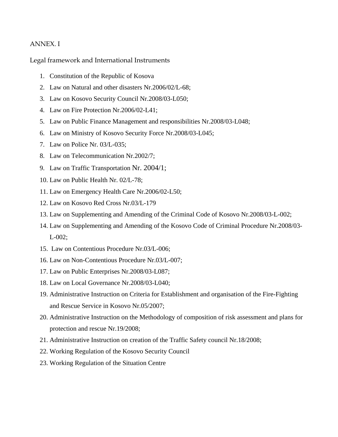# ANNEX. I

Legal framework and International Instruments

- 1. Constitution of the Republic of Kosova
- 2. Law on Natural and other disasters Nr.2006/02/L-68;
- 3. Law on Kosovo Security Council Nr.2008/03-L050;
- 4. Law on Fire Protection Nr.2006/02-L41;
- 5. Law on Public Finance Management and responsibilities Nr.2008/03-L048;
- 6. Law on Ministry of Kosovo Security Force Nr.2008/03-L045;
- 7. Law on Police Nr. 03/L-035;
- 8. Law on Telecommunication Nr.2002/7;
- 9. Law on Traffic Transportation Nr. 2004/1;
- 10. Law on Public Health Nr. 02/L-78;
- 11. Law on Emergency Health Care Nr.2006/02-L50;
- 12. Law on Kosovo Red Cross Nr.03/L-179
- 13. Law on Supplementing and Amending of the Criminal Code of Kosovo Nr.2008/03-L-002;
- 14. Law on Supplementing and Amending of the Kosovo Code of Criminal Procedure Nr.2008/03- L-002;
- 15. Law on Contentious Procedure Nr.03/L-006;
- 16. Law on Non-Contentious Procedure Nr.03/L-007;
- 17. Law on Public Enterprises Nr.2008/03-L087;
- 18. Law on Local Governance Nr.2008/03-L040;
- 19. Administrative Instruction on Criteria for Establishment and organisation of the Fire-Fighting and Rescue Service in Kosovo Nr.05/2007;
- 20. Administrative Instruction on the Methodology of composition of risk assessment and plans for protection and rescue Nr.19/2008;
- 21. Administrative Instruction on creation of the Traffic Safety council Nr.18/2008;
- 22. Working Regulation of the Kosovo Security Council
- 23. Working Regulation of the Situation Centre